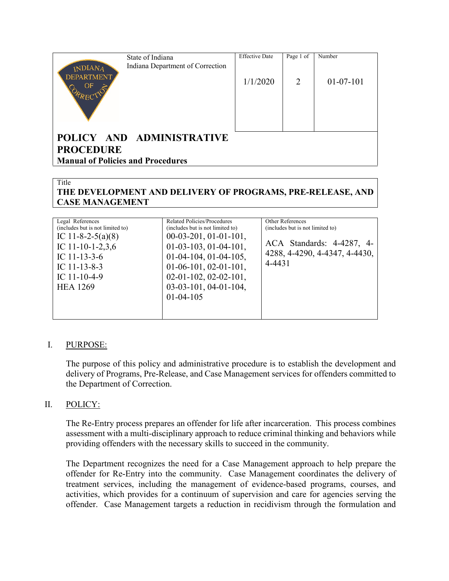|                                          | State of Indiana                 | <b>Effective Date</b> | Page 1 of | Number      |
|------------------------------------------|----------------------------------|-----------------------|-----------|-------------|
| <b>INDIANA</b>                           | Indiana Department of Correction |                       |           |             |
| <b>DEPARTMENT</b><br>OF                  |                                  | 1/1/2020              | 2         | $01-07-101$ |
|                                          | POLICY AND ADMINISTRATIVE        |                       |           |             |
|                                          |                                  |                       |           |             |
| <b>PROCEDURE</b>                         |                                  |                       |           |             |
| <b>Manual of Policies and Procedures</b> |                                  |                       |           |             |
|                                          |                                  |                       |           |             |

### Title

### **THE DEVELOPMENT AND DELIVERY OF PROGRAMS, PRE-RELEASE, AND CASE MANAGEMENT**

| Legal References                 | Related Policies/Procedures      | Other References                 |
|----------------------------------|----------------------------------|----------------------------------|
| (includes but is not limited to) | (includes but is not limited to) | (includes but is not limited to) |
| IC 11-8-2-5(a)(8)                | $00-03-201, 01-01-101,$          |                                  |
| IC 11-10-1-2,3,6                 | $01-03-103, 01-04-101,$          | ACA Standards: 4-4287, 4-        |
| IC $11-13-3-6$                   | $01-04-104, 01-04-105,$          | 4288, 4-4290, 4-4347, 4-4430,    |
| IC $11-13-8-3$                   | $01-06-101, 02-01-101,$          | 4-4431                           |
| IC $11-10-4-9$                   | $02-01-102$ , $02-02-101$ ,      |                                  |
| <b>HEA 1269</b>                  | $03-03-101, 04-01-104,$          |                                  |
|                                  | $01-04-105$                      |                                  |
|                                  |                                  |                                  |
|                                  |                                  |                                  |

### I. PURPOSE:

The purpose of this policy and administrative procedure is to establish the development and delivery of Programs, Pre-Release, and Case Management services for offenders committed to the Department of Correction.

### II. POLICY:

The Re-Entry process prepares an offender for life after incarceration. This process combines assessment with a multi-disciplinary approach to reduce criminal thinking and behaviors while providing offenders with the necessary skills to succeed in the community.

The Department recognizes the need for a Case Management approach to help prepare the offender for Re-Entry into the community. Case Management coordinates the delivery of treatment services, including the management of evidence-based programs, courses, and activities, which provides for a continuum of supervision and care for agencies serving the offender. Case Management targets a reduction in recidivism through the formulation and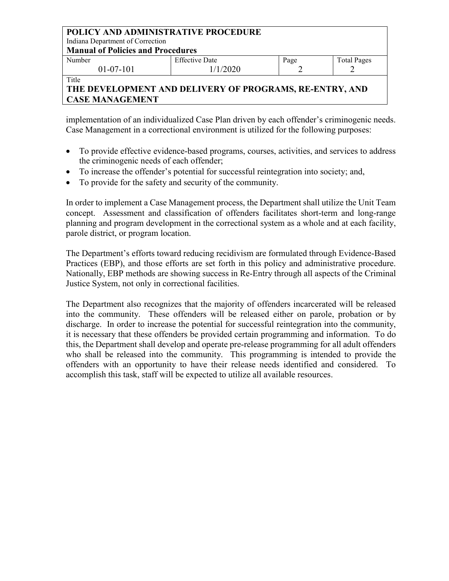| <b>POLICY AND ADMINISTRATIVE PROCEDURE</b><br>Indiana Department of Correction |                       |      |                    |
|--------------------------------------------------------------------------------|-----------------------|------|--------------------|
| <b>Manual of Policies and Procedures</b>                                       |                       |      |                    |
| Number                                                                         | <b>Effective Date</b> | Page | <b>Total Pages</b> |
| $01-07-101$                                                                    | 1/1/2020              |      |                    |
| Title                                                                          |                       |      |                    |

# **THE DEVELOPMENT AND DELIVERY OF PROGRAMS, RE-ENTRY, AND CASE MANAGEMENT**

implementation of an individualized Case Plan driven by each offender's criminogenic needs. Case Management in a correctional environment is utilized for the following purposes:

- To provide effective evidence-based programs, courses, activities, and services to address the criminogenic needs of each offender;
- To increase the offender's potential for successful reintegration into society; and,
- To provide for the safety and security of the community.

In order to implement a Case Management process, the Department shall utilize the Unit Team concept. Assessment and classification of offenders facilitates short-term and long-range planning and program development in the correctional system as a whole and at each facility, parole district, or program location.

The Department's efforts toward reducing recidivism are formulated through Evidence-Based Practices (EBP), and those efforts are set forth in this policy and administrative procedure. Nationally, EBP methods are showing success in Re-Entry through all aspects of the Criminal Justice System, not only in correctional facilities.

The Department also recognizes that the majority of offenders incarcerated will be released into the community. These offenders will be released either on parole, probation or by discharge. In order to increase the potential for successful reintegration into the community, it is necessary that these offenders be provided certain programming and information. To do this, the Department shall develop and operate pre-release programming for all adult offenders who shall be released into the community. This programming is intended to provide the offenders with an opportunity to have their release needs identified and considered. To accomplish this task, staff will be expected to utilize all available resources.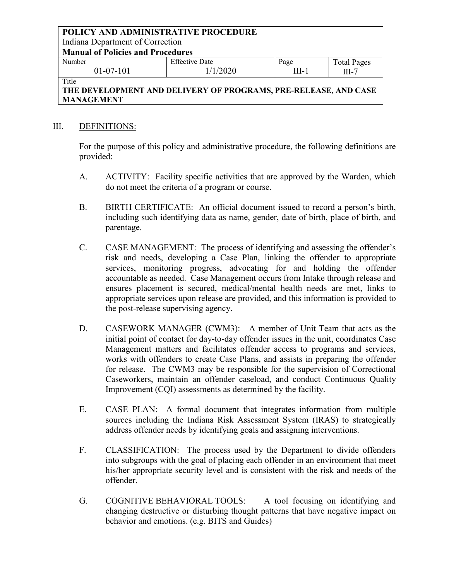#### **POLICY AND ADMINISTRATIVE PROCEDURE** Indiana Department of Correction **Manual of Policies and Procedures** Number 01-07-101 Effective Date 1/1/2020 Page III-1 Total Pages

### III-7 Title **THE DEVELOPMENT AND DELIVERY OF PROGRAMS, PRE-RELEASE, AND CASE MANAGEMENT**

### III. DEFINITIONS:

For the purpose of this policy and administrative procedure, the following definitions are provided:

- A. ACTIVITY: Facility specific activities that are approved by the Warden, which do not meet the criteria of a program or course.
- B. BIRTH CERTIFICATE: An official document issued to record a person's birth, including such identifying data as name, gender, date of birth, place of birth, and parentage.
- C. CASE MANAGEMENT: The process of identifying and assessing the offender's risk and needs, developing a Case Plan, linking the offender to appropriate services, monitoring progress, advocating for and holding the offender accountable as needed. Case Management occurs from Intake through release and ensures placement is secured, medical/mental health needs are met, links to appropriate services upon release are provided, and this information is provided to the post-release supervising agency.
- D. CASEWORK MANAGER (CWM3): A member of Unit Team that acts as the initial point of contact for day-to-day offender issues in the unit, coordinates Case Management matters and facilitates offender access to programs and services, works with offenders to create Case Plans, and assists in preparing the offender for release. The CWM3 may be responsible for the supervision of Correctional Caseworkers, maintain an offender caseload, and conduct Continuous Quality Improvement (CQI) assessments as determined by the facility.
- E. CASE PLAN: A formal document that integrates information from multiple sources including the Indiana Risk Assessment System (IRAS) to strategically address offender needs by identifying goals and assigning interventions.
- F. CLASSIFICATION: The process used by the Department to divide offenders into subgroups with the goal of placing each offender in an environment that meet his/her appropriate security level and is consistent with the risk and needs of the offender.
- G. COGNITIVE BEHAVIORAL TOOLS: A tool focusing on identifying and changing destructive or disturbing thought patterns that have negative impact on behavior and emotions. (e.g. BITS and Guides)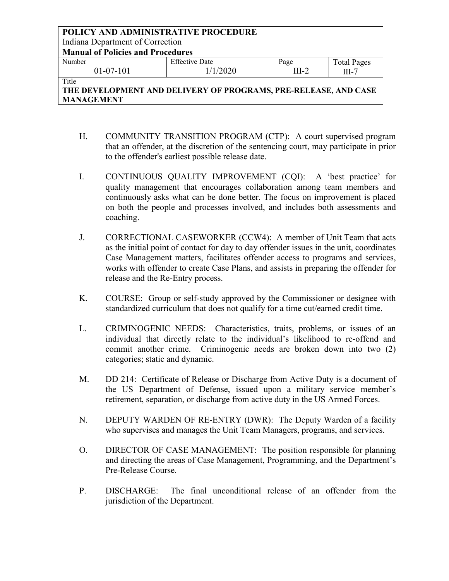| POLICY AND ADMINISTRATIVE PROCEDURE                             |                       |         |                    |  |  |
|-----------------------------------------------------------------|-----------------------|---------|--------------------|--|--|
| Indiana Department of Correction                                |                       |         |                    |  |  |
| <b>Manual of Policies and Procedures</b>                        |                       |         |                    |  |  |
| Number                                                          | <b>Effective Date</b> | Page    | <b>Total Pages</b> |  |  |
| $01-07-101$                                                     | 1/1/2020              | $III-2$ | $III-7$            |  |  |
| Title                                                           |                       |         |                    |  |  |
| THE DEVELODMENT AND DELIVEDV OF DDOCD AMC DDE DELEASE. AND CASE |                       |         |                    |  |  |

- H. COMMUNITY TRANSITION PROGRAM (CTP): A court supervised program that an offender, at the discretion of the sentencing court, may participate in prior to the offender's earliest possible release date.
- I. CONTINUOUS QUALITY IMPROVEMENT (CQI): A 'best practice' for quality management that encourages collaboration among team members and continuously asks what can be done better. The focus on improvement is placed on both the people and processes involved, and includes both assessments and coaching.
- J. CORRECTIONAL CASEWORKER (CCW4): A member of Unit Team that acts as the initial point of contact for day to day offender issues in the unit, coordinates Case Management matters, facilitates offender access to programs and services, works with offender to create Case Plans, and assists in preparing the offender for release and the Re-Entry process.
- K. COURSE: Group or self-study approved by the Commissioner or designee with standardized curriculum that does not qualify for a time cut/earned credit time.
- L. CRIMINOGENIC NEEDS: Characteristics, traits, problems, or issues of an individual that directly relate to the individual's likelihood to re-offend and commit another crime. Criminogenic needs are broken down into two (2) categories; static and dynamic.
- M. DD 214: Certificate of Release or Discharge from Active Duty is a document of the US Department of Defense, issued upon a military service member's retirement, separation, or discharge from active duty in the US Armed Forces.
- N. DEPUTY WARDEN OF RE-ENTRY (DWR): The Deputy Warden of a facility who supervises and manages the Unit Team Managers, programs, and services.
- O. DIRECTOR OF CASE MANAGEMENT: The position responsible for planning and directing the areas of Case Management, Programming, and the Department's Pre-Release Course.
- P. DISCHARGE: The final unconditional release of an offender from the jurisdiction of the Department.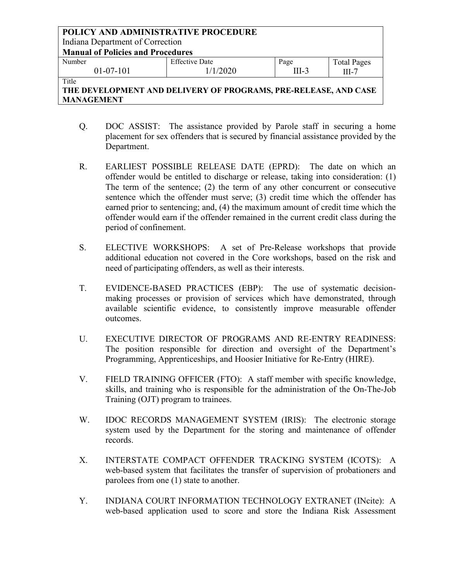| POLICY AND ADMINISTRATIVE PROCEDURE                           |                       |         |                    |  |
|---------------------------------------------------------------|-----------------------|---------|--------------------|--|
| Indiana Department of Correction                              |                       |         |                    |  |
| <b>Manual of Policies and Procedures</b>                      |                       |         |                    |  |
| Number                                                        | <b>Effective Date</b> | Page    | <b>Total Pages</b> |  |
| $01-07-101$                                                   | 1/1/2020              | $III-3$ | $III-7$            |  |
| Title                                                         |                       |         |                    |  |
| THE BEUTLOBLEM IND BELIUDLI OF BROOD ING BBE BELL OF JUB CLOP |                       |         |                    |  |

- Q. DOC ASSIST: The assistance provided by Parole staff in securing a home placement for sex offenders that is secured by financial assistance provided by the Department.
- R. EARLIEST POSSIBLE RELEASE DATE (EPRD): The date on which an offender would be entitled to discharge or release, taking into consideration: (1) The term of the sentence; (2) the term of any other concurrent or consecutive sentence which the offender must serve; (3) credit time which the offender has earned prior to sentencing; and, (4) the maximum amount of credit time which the offender would earn if the offender remained in the current credit class during the period of confinement.
- S. ELECTIVE WORKSHOPS: A set of Pre-Release workshops that provide additional education not covered in the Core workshops, based on the risk and need of participating offenders, as well as their interests.
- T. EVIDENCE-BASED PRACTICES (EBP): The use of systematic decisionmaking processes or provision of services which have demonstrated, through available scientific evidence, to consistently improve measurable offender outcomes.
- U. EXECUTIVE DIRECTOR OF PROGRAMS AND RE-ENTRY READINESS: The position responsible for direction and oversight of the Department's Programming, Apprenticeships, and Hoosier Initiative for Re-Entry (HIRE).
- V. FIELD TRAINING OFFICER (FTO): A staff member with specific knowledge, skills, and training who is responsible for the administration of the On-The-Job Training (OJT) program to trainees.
- W. IDOC RECORDS MANAGEMENT SYSTEM (IRIS): The electronic storage system used by the Department for the storing and maintenance of offender records.
- X. INTERSTATE COMPACT OFFENDER TRACKING SYSTEM (ICOTS): A web-based system that facilitates the transfer of supervision of probationers and parolees from one (1) state to another.
- Y. INDIANA COURT INFORMATION TECHNOLOGY EXTRANET (INcite): A web-based application used to score and store the Indiana Risk Assessment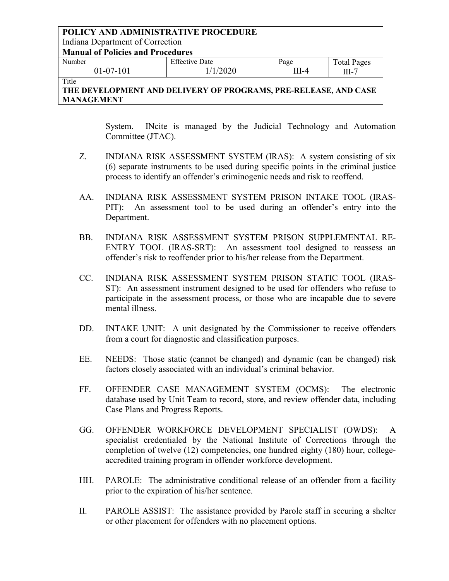#### **POLICY AND ADMINISTRATIVE PROCEDURE** Indiana Department of Correction **Manual of Policies and Procedures** Number 01-07-101 Effective Date 1/1/2020 Page III-4 Total Pages III-7 Title

# **THE DEVELOPMENT AND DELIVERY OF PROGRAMS, PRE-RELEASE, AND CASE MANAGEMENT**

System. INcite is managed by the Judicial Technology and Automation Committee (JTAC).

- Z. INDIANA RISK ASSESSMENT SYSTEM (IRAS): A system consisting of six (6) separate instruments to be used during specific points in the criminal justice process to identify an offender's criminogenic needs and risk to reoffend.
- AA. INDIANA RISK ASSESSMENT SYSTEM PRISON INTAKE TOOL (IRAS-PIT): An assessment tool to be used during an offender's entry into the Department.
- BB. INDIANA RISK ASSESSMENT SYSTEM PRISON SUPPLEMENTAL RE-ENTRY TOOL (IRAS-SRT): An assessment tool designed to reassess an offender's risk to reoffender prior to his/her release from the Department.
- CC. INDIANA RISK ASSESSMENT SYSTEM PRISON STATIC TOOL (IRAS-ST): An assessment instrument designed to be used for offenders who refuse to participate in the assessment process, or those who are incapable due to severe mental illness.
- DD. INTAKE UNIT: A unit designated by the Commissioner to receive offenders from a court for diagnostic and classification purposes.
- EE. NEEDS: Those static (cannot be changed) and dynamic (can be changed) risk factors closely associated with an individual's criminal behavior.
- FF. OFFENDER CASE MANAGEMENT SYSTEM (OCMS): The electronic database used by Unit Team to record, store, and review offender data, including Case Plans and Progress Reports.
- GG. OFFENDER WORKFORCE DEVELOPMENT SPECIALIST (OWDS): A specialist credentialed by the National Institute of Corrections through the completion of twelve (12) competencies, one hundred eighty (180) hour, collegeaccredited training program in offender workforce development.
- HH. PAROLE: The administrative conditional release of an offender from a facility prior to the expiration of his/her sentence.
- II. PAROLE ASSIST: The assistance provided by Parole staff in securing a shelter or other placement for offenders with no placement options.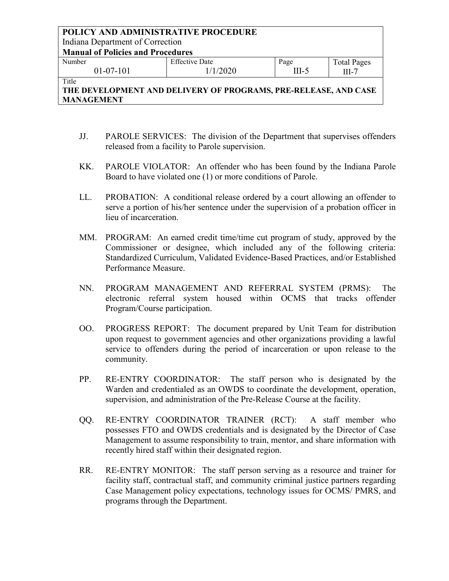| POLICY AND ADMINISTRATIVE PROCEDURE      |                       |         |                    |  |
|------------------------------------------|-----------------------|---------|--------------------|--|
| Indiana Department of Correction         |                       |         |                    |  |
| <b>Manual of Policies and Procedures</b> |                       |         |                    |  |
| Number                                   | <b>Effective Date</b> | Page    | <b>Total Pages</b> |  |
| $01-07-101$                              | 1/1/2020              | $III-5$ | $III-7$            |  |
| Title                                    |                       |         |                    |  |

- JJ. PAROLE SERVICES: The division of the Department that supervises offenders released from a facility to Parole supervision.
- KK. PAROLE VIOLATOR: An offender who has been found by the Indiana Parole Board to have violated one (1) or more conditions of Parole.
- LL. PROBATION: A conditional release ordered by a court allowing an offender to serve a portion of his/her sentence under the supervision of a probation officer in lieu of incarceration.
- MM. PROGRAM: An earned credit time/time cut program of study, approved by the Commissioner or designee, which included any of the following criteria: Standardized Curriculum, Validated Evidence-Based Practices, and/or Established Performance Measure.
- NN. PROGRAM MANAGEMENT AND REFERRAL SYSTEM (PRMS): The electronic referral system housed within OCMS that tracks offender Program/Course participation.
- OO. PROGRESS REPORT: The document prepared by Unit Team for distribution upon request to government agencies and other organizations providing a lawful service to offenders during the period of incarceration or upon release to the community.
- PP. RE-ENTRY COORDINATOR: The staff person who is designated by the Warden and credentialed as an OWDS to coordinate the development, operation, supervision, and administration of the Pre-Release Course at the facility.
- QQ. RE-ENTRY COORDINATOR TRAINER (RCT): A staff member who possesses FTO and OWDS credentials and is designated by the Director of Case Management to assume responsibility to train, mentor, and share information with recently hired staff within their designated region.
- RR. RE-ENTRY MONITOR: The staff person serving as a resource and trainer for facility staff, contractual staff, and community criminal justice partners regarding Case Management policy expectations, technology issues for OCMS/ PMRS, and programs through the Department.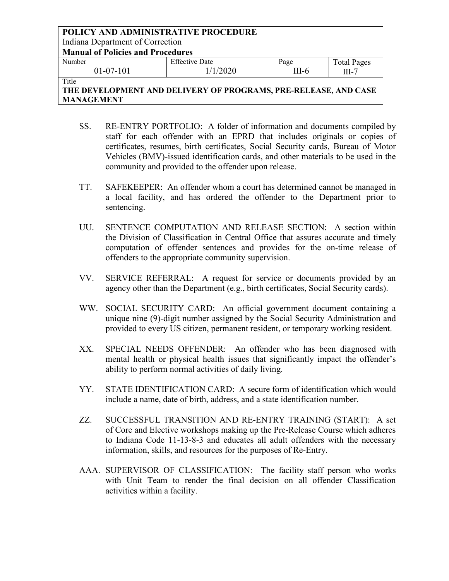| POLICY AND ADMINISTRATIVE PROCEDURE      |                       |         |                    |  |
|------------------------------------------|-----------------------|---------|--------------------|--|
| Indiana Department of Correction         |                       |         |                    |  |
| <b>Manual of Policies and Procedures</b> |                       |         |                    |  |
| Number                                   | <b>Effective Date</b> | Page    | <b>Total Pages</b> |  |
| $01-07-101$                              | 1/1/2020              | $III-6$ | $III-7$            |  |
| Title                                    |                       |         |                    |  |

- SS. RE-ENTRY PORTFOLIO: A folder of information and documents compiled by staff for each offender with an EPRD that includes originals or copies of certificates, resumes, birth certificates, Social Security cards, Bureau of Motor Vehicles (BMV)-issued identification cards, and other materials to be used in the community and provided to the offender upon release.
- TT. SAFEKEEPER: An offender whom a court has determined cannot be managed in a local facility, and has ordered the offender to the Department prior to sentencing.
- UU. SENTENCE COMPUTATION AND RELEASE SECTION: A section within the Division of Classification in Central Office that assures accurate and timely computation of offender sentences and provides for the on-time release of offenders to the appropriate community supervision.
- VV. SERVICE REFERRAL: A request for service or documents provided by an agency other than the Department (e.g., birth certificates, Social Security cards).
- WW. SOCIAL SECURITY CARD: An official government document containing a unique nine (9)-digit number assigned by the Social Security Administration and provided to every US citizen, permanent resident, or temporary working resident.
- XX. SPECIAL NEEDS OFFENDER: An offender who has been diagnosed with mental health or physical health issues that significantly impact the offender's ability to perform normal activities of daily living.
- YY. STATE IDENTIFICATION CARD: A secure form of identification which would include a name, date of birth, address, and a state identification number.
- ZZ. SUCCESSFUL TRANSITION AND RE-ENTRY TRAINING (START): A set of Core and Elective workshops making up the Pre-Release Course which adheres to Indiana Code 11-13-8-3 and educates all adult offenders with the necessary information, skills, and resources for the purposes of Re-Entry.
- AAA. SUPERVISOR OF CLASSIFICATION: The facility staff person who works with Unit Team to render the final decision on all offender Classification activities within a facility.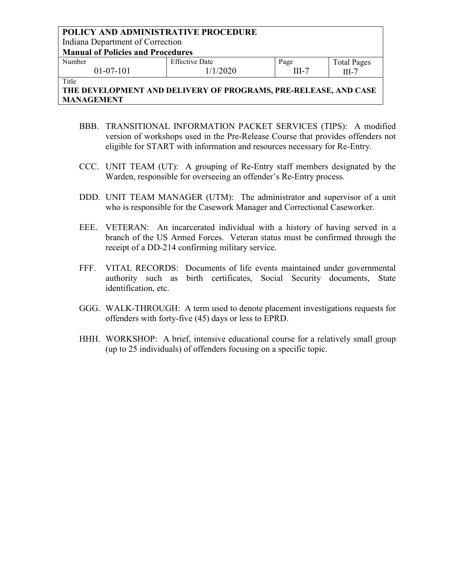### **POLICY AND ADMINISTRATIVE PROCEDURE** Indiana Department of Correction **Manual of Policies and Procedures** Number 01-07-101 Effective Date 1/1/2020 Page III-7 Total Pages III-7 Title

- BBB. TRANSITIONAL INFORMATION PACKET SERVICES (TIPS): A modified version of workshops used in the Pre-Release Course that provides offenders not eligible for START with information and resources necessary for Re-Entry.
- CCC. UNIT TEAM (UT): A grouping of Re-Entry staff members designated by the Warden, responsible for overseeing an offender's Re-Entry process.
- DDD. UNIT TEAM MANAGER (UTM): The administrator and supervisor of a unit who is responsible for the Casework Manager and Correctional Caseworker.
- EEE. VETERAN: An incarcerated individual with a history of having served in a branch of the US Armed Forces. Veteran status must be confirmed through the receipt of a DD-214 confirming military service.
- FFF. VITAL RECORDS: Documents of life events maintained under governmental authority such as birth certificates, Social Security documents, State identification, etc.
- GGG. WALK-THROUGH: A term used to denote placement investigations requests for offenders with forty-five (45) days or less to EPRD.
- HHH. WORKSHOP: A brief, intensive educational course for a relatively small group (up to 25 individuals) of offenders focusing on a specific topic.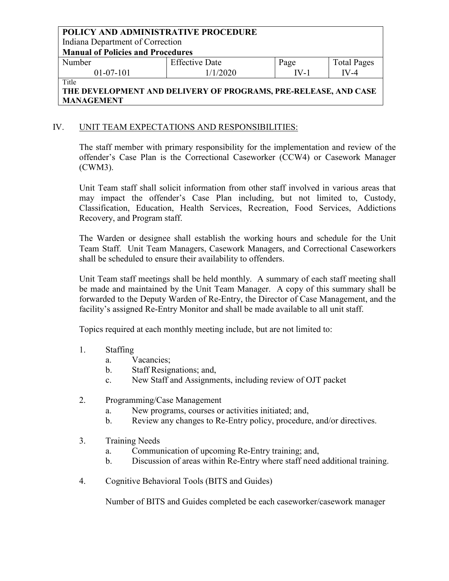Indiana Department of Correction

**Manual of Policies and Procedures**

| Number      | <b>Effective Date</b> | Page      | <b>Total Pages</b> |
|-------------|-----------------------|-----------|--------------------|
| $01-07-101$ | /1/2020               | $W_{-}$ . | $V - 4$            |
| $-$         |                       |           |                    |

### Title

# **THE DEVELOPMENT AND DELIVERY OF PROGRAMS, PRE-RELEASE, AND CASE MANAGEMENT**

# IV. UNIT TEAM EXPECTATIONS AND RESPONSIBILITIES:

The staff member with primary responsibility for the implementation and review of the offender's Case Plan is the Correctional Caseworker (CCW4) or Casework Manager (CWM3).

Unit Team staff shall solicit information from other staff involved in various areas that may impact the offender's Case Plan including, but not limited to, Custody, Classification, Education, Health Services, Recreation, Food Services, Addictions Recovery, and Program staff.

The Warden or designee shall establish the working hours and schedule for the Unit Team Staff. Unit Team Managers, Casework Managers, and Correctional Caseworkers shall be scheduled to ensure their availability to offenders.

Unit Team staff meetings shall be held monthly. A summary of each staff meeting shall be made and maintained by the Unit Team Manager. A copy of this summary shall be forwarded to the Deputy Warden of Re-Entry, the Director of Case Management, and the facility's assigned Re-Entry Monitor and shall be made available to all unit staff.

Topics required at each monthly meeting include, but are not limited to:

### 1. Staffing

- a. Vacancies;
- b. Staff Resignations; and,
- c. New Staff and Assignments, including review of OJT packet
- 2. Programming/Case Management
	- a. New programs, courses or activities initiated; and,
	- b. Review any changes to Re-Entry policy, procedure, and/or directives.
- 3. Training Needs
	- a. Communication of upcoming Re-Entry training; and,
	- b. Discussion of areas within Re-Entry where staff need additional training.
- 4. Cognitive Behavioral Tools (BITS and Guides)

Number of BITS and Guides completed be each caseworker/casework manager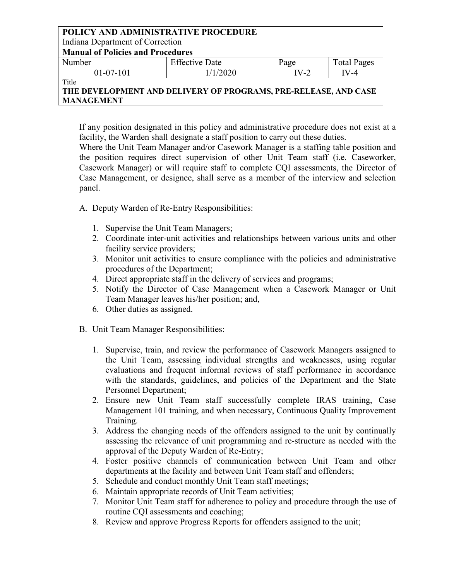Indiana Department of Correction

**Manual of Policies and Procedures**

| Number      | <b>Effective Date</b> | Page | $\mathbf{r}$<br><b>Total Pages</b> |
|-------------|-----------------------|------|------------------------------------|
| $01-07-101$ | 1/2020                | $-2$ | $^{\prime}$ -4                     |
| ---         |                       |      |                                    |

Title

# **THE DEVELOPMENT AND DELIVERY OF PROGRAMS, PRE-RELEASE, AND CASE MANAGEMENT**

If any position designated in this policy and administrative procedure does not exist at a facility, the Warden shall designate a staff position to carry out these duties.

Where the Unit Team Manager and/or Casework Manager is a staffing table position and the position requires direct supervision of other Unit Team staff (i.e. Caseworker, Casework Manager) or will require staff to complete CQI assessments, the Director of Case Management, or designee, shall serve as a member of the interview and selection panel.

- A. Deputy Warden of Re-Entry Responsibilities:
	- 1. Supervise the Unit Team Managers;
	- 2. Coordinate inter-unit activities and relationships between various units and other facility service providers;
	- 3. Monitor unit activities to ensure compliance with the policies and administrative procedures of the Department;
	- 4. Direct appropriate staff in the delivery of services and programs;
	- 5. Notify the Director of Case Management when a Casework Manager or Unit Team Manager leaves his/her position; and,
	- 6. Other duties as assigned.
- B. Unit Team Manager Responsibilities:
	- 1. Supervise, train, and review the performance of Casework Managers assigned to the Unit Team, assessing individual strengths and weaknesses, using regular evaluations and frequent informal reviews of staff performance in accordance with the standards, guidelines, and policies of the Department and the State Personnel Department;
	- 2. Ensure new Unit Team staff successfully complete IRAS training, Case Management 101 training, and when necessary, Continuous Quality Improvement Training.
	- 3. Address the changing needs of the offenders assigned to the unit by continually assessing the relevance of unit programming and re-structure as needed with the approval of the Deputy Warden of Re-Entry;
	- 4. Foster positive channels of communication between Unit Team and other departments at the facility and between Unit Team staff and offenders;
	- 5. Schedule and conduct monthly Unit Team staff meetings;
	- 6. Maintain appropriate records of Unit Team activities;
	- 7. Monitor Unit Team staff for adherence to policy and procedure through the use of routine CQI assessments and coaching;
	- 8. Review and approve Progress Reports for offenders assigned to the unit;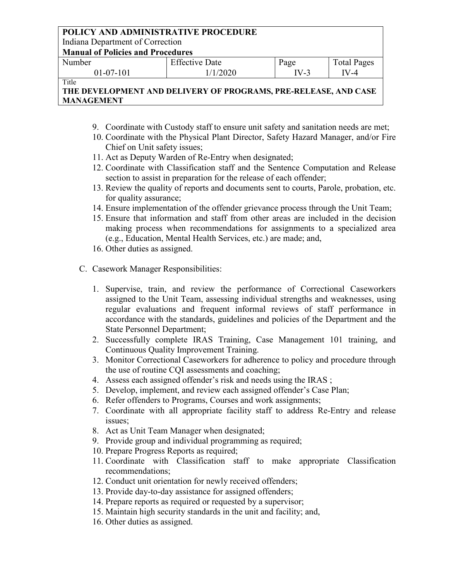Indiana Department of Correction

**Manual of Policies and Procedures**

| Number      | <b>Effective Date</b> | Page | <b>Total Pages</b> |
|-------------|-----------------------|------|--------------------|
| $01-07-101$ | 1/2020                | V-4  | V -4               |
| ---         |                       |      |                    |

Title

- 9. Coordinate with Custody staff to ensure unit safety and sanitation needs are met;
- 10. Coordinate with the Physical Plant Director, Safety Hazard Manager, and/or Fire Chief on Unit safety issues;
- 11. Act as Deputy Warden of Re-Entry when designated;
- 12. Coordinate with Classification staff and the Sentence Computation and Release section to assist in preparation for the release of each offender;
- 13. Review the quality of reports and documents sent to courts, Parole, probation, etc. for quality assurance;
- 14. Ensure implementation of the offender grievance process through the Unit Team;
- 15. Ensure that information and staff from other areas are included in the decision making process when recommendations for assignments to a specialized area (e.g., Education, Mental Health Services, etc.) are made; and,
- 16. Other duties as assigned.
- C. Casework Manager Responsibilities:
	- 1. Supervise, train, and review the performance of Correctional Caseworkers assigned to the Unit Team, assessing individual strengths and weaknesses, using regular evaluations and frequent informal reviews of staff performance in accordance with the standards, guidelines and policies of the Department and the State Personnel Department;
	- 2. Successfully complete IRAS Training, Case Management 101 training, and Continuous Quality Improvement Training.
	- 3. Monitor Correctional Caseworkers for adherence to policy and procedure through the use of routine CQI assessments and coaching;
	- 4. Assess each assigned offender's risk and needs using the IRAS ;
	- 5. Develop, implement, and review each assigned offender's Case Plan;
	- 6. Refer offenders to Programs, Courses and work assignments;
	- 7. Coordinate with all appropriate facility staff to address Re-Entry and release issues;
	- 8. Act as Unit Team Manager when designated;
	- 9. Provide group and individual programming as required;
	- 10. Prepare Progress Reports as required;
	- 11. Coordinate with Classification staff to make appropriate Classification recommendations;
	- 12. Conduct unit orientation for newly received offenders;
	- 13. Provide day-to-day assistance for assigned offenders;
	- 14. Prepare reports as required or requested by a supervisor;
	- 15. Maintain high security standards in the unit and facility; and,
	- 16. Other duties as assigned.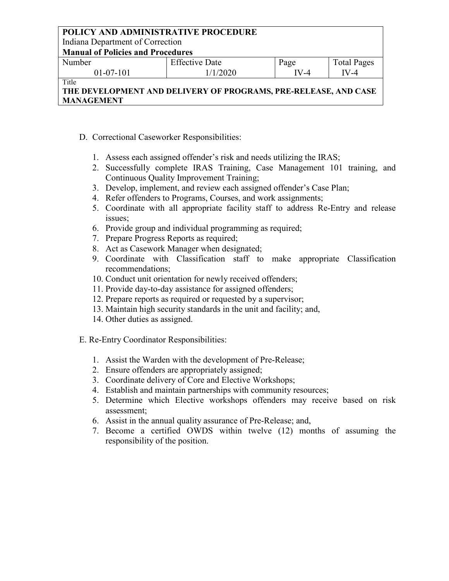Indiana Department of Correction

**Manual of Policies and Procedures**

| Number      | <b>Effective Date</b> | Page    | <b>Total Pages</b> |
|-------------|-----------------------|---------|--------------------|
| $01-07-101$ | 1/2020                | $V - 4$ | 'V-4               |
|             |                       |         |                    |

Title

# **THE DEVELOPMENT AND DELIVERY OF PROGRAMS, PRE-RELEASE, AND CASE MANAGEMENT**

- D. Correctional Caseworker Responsibilities:
	- 1. Assess each assigned offender's risk and needs utilizing the IRAS;
	- 2. Successfully complete IRAS Training, Case Management 101 training, and Continuous Quality Improvement Training;
	- 3. Develop, implement, and review each assigned offender's Case Plan;
	- 4. Refer offenders to Programs, Courses, and work assignments;
	- 5. Coordinate with all appropriate facility staff to address Re-Entry and release issues;
	- 6. Provide group and individual programming as required;
	- 7. Prepare Progress Reports as required;
	- 8. Act as Casework Manager when designated;
	- 9. Coordinate with Classification staff to make appropriate Classification recommendations;
	- 10. Conduct unit orientation for newly received offenders;
	- 11. Provide day-to-day assistance for assigned offenders;
	- 12. Prepare reports as required or requested by a supervisor;
	- 13. Maintain high security standards in the unit and facility; and,
	- 14. Other duties as assigned.

E. Re-Entry Coordinator Responsibilities:

- 1. Assist the Warden with the development of Pre-Release;
- 2. Ensure offenders are appropriately assigned;
- 3. Coordinate delivery of Core and Elective Workshops;
- 4. Establish and maintain partnerships with community resources;
- 5. Determine which Elective workshops offenders may receive based on risk assessment;
- 6. Assist in the annual quality assurance of Pre-Release; and,
- 7. Become a certified OWDS within twelve (12) months of assuming the responsibility of the position.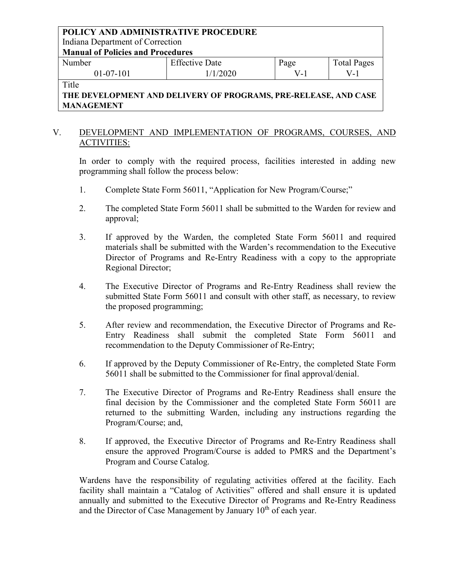Indiana Department of Correction

**Manual of Policies and Procedures**

| Number    | <b>Effective Date</b> | Page | <b>Total Pages</b> |
|-----------|-----------------------|------|--------------------|
| 01-07-101 | /1/2020               | v –  | v - I              |
|           |                       |      |                    |

Title

**THE DEVELOPMENT AND DELIVERY OF PROGRAMS, PRE-RELEASE, AND CASE MANAGEMENT**

### V. DEVELOPMENT AND IMPLEMENTATION OF PROGRAMS, COURSES, AND ACTIVITIES:

In order to comply with the required process, facilities interested in adding new programming shall follow the process below:

- 1. Complete State Form 56011, "Application for New Program/Course;"
- 2. The completed State Form 56011 shall be submitted to the Warden for review and approval;
- 3. If approved by the Warden, the completed State Form 56011 and required materials shall be submitted with the Warden's recommendation to the Executive Director of Programs and Re-Entry Readiness with a copy to the appropriate Regional Director;
- 4. The Executive Director of Programs and Re-Entry Readiness shall review the submitted State Form 56011 and consult with other staff, as necessary, to review the proposed programming;
- 5. After review and recommendation, the Executive Director of Programs and Re-Entry Readiness shall submit the completed State Form 56011 and recommendation to the Deputy Commissioner of Re-Entry;
- 6. If approved by the Deputy Commissioner of Re-Entry, the completed State Form 56011 shall be submitted to the Commissioner for final approval/denial.
- 7. The Executive Director of Programs and Re-Entry Readiness shall ensure the final decision by the Commissioner and the completed State Form 56011 are returned to the submitting Warden, including any instructions regarding the Program/Course; and,
- 8. If approved, the Executive Director of Programs and Re-Entry Readiness shall ensure the approved Program/Course is added to PMRS and the Department's Program and Course Catalog.

Wardens have the responsibility of regulating activities offered at the facility. Each facility shall maintain a "Catalog of Activities" offered and shall ensure it is updated annually and submitted to the Executive Director of Programs and Re-Entry Readiness and the Director of Case Management by January  $10<sup>th</sup>$  of each year.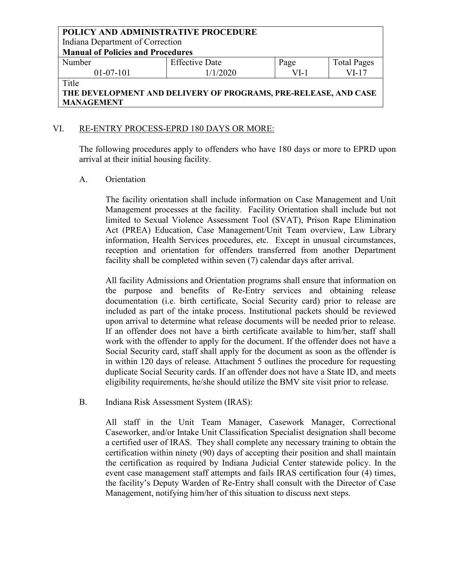Indiana Department of Correction

**Manual of Policies and Procedures**

| Number      | <b>Effective Date</b> | Page | <b>Total Pages</b> |
|-------------|-----------------------|------|--------------------|
| $01-07-101$ | 1/1/2020              | /I-  | VI-17              |
| $m + 1$     |                       |      |                    |

### Title

# **THE DEVELOPMENT AND DELIVERY OF PROGRAMS, PRE-RELEASE, AND CASE MANAGEMENT**

### VI. RE-ENTRY PROCESS-EPRD 180 DAYS OR MORE:

The following procedures apply to offenders who have 180 days or more to EPRD upon arrival at their initial housing facility.

### A. Orientation

The facility orientation shall include information on Case Management and Unit Management processes at the facility. Facility Orientation shall include but not limited to Sexual Violence Assessment Tool (SVAT), Prison Rape Elimination Act (PREA) Education, Case Management/Unit Team overview, Law Library information, Health Services procedures, etc. Except in unusual circumstances, reception and orientation for offenders transferred from another Department facility shall be completed within seven (7) calendar days after arrival.

All facility Admissions and Orientation programs shall ensure that information on the purpose and benefits of Re-Entry services and obtaining release documentation (i.e. birth certificate, Social Security card) prior to release are included as part of the intake process. Institutional packets should be reviewed upon arrival to determine what release documents will be needed prior to release. If an offender does not have a birth certificate available to him/her, staff shall work with the offender to apply for the document. If the offender does not have a Social Security card, staff shall apply for the document as soon as the offender is in within 120 days of release. Attachment 5 outlines the procedure for requesting duplicate Social Security cards. If an offender does not have a State ID, and meets eligibility requirements, he/she should utilize the BMV site visit prior to release.

B. Indiana Risk Assessment System (IRAS):

All staff in the Unit Team Manager, Casework Manager, Correctional Caseworker, and/or Intake Unit Classification Specialist designation shall become a certified user of IRAS. They shall complete any necessary training to obtain the certification within ninety (90) days of accepting their position and shall maintain the certification as required by Indiana Judicial Center statewide policy. In the event case management staff attempts and fails IRAS certification four (4) times, the facility's Deputy Warden of Re-Entry shall consult with the Director of Case Management, notifying him/her of this situation to discuss next steps.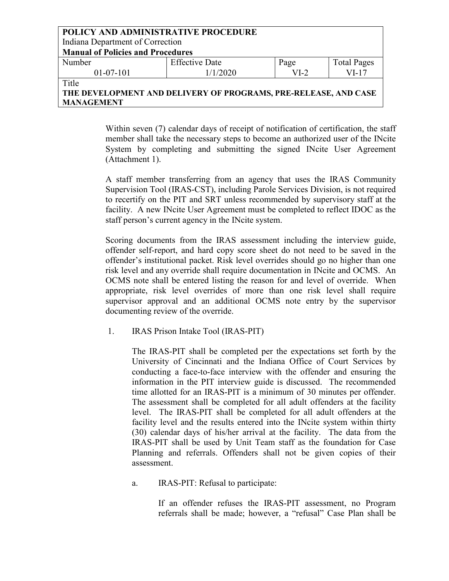| POLICY AND ADMINISTRATIVE PROCEDURE                             |                       |        |                    |  |  |
|-----------------------------------------------------------------|-----------------------|--------|--------------------|--|--|
| Indiana Department of Correction                                |                       |        |                    |  |  |
| <b>Manual of Policies and Procedures</b>                        |                       |        |                    |  |  |
| Number                                                          | <b>Effective Date</b> | Page   | <b>Total Pages</b> |  |  |
| $01-07-101$                                                     | 1/1/2020              | $VI-2$ | VI-17              |  |  |
| Title                                                           |                       |        |                    |  |  |
| THE DEVELOPMENT AND DELIVERY OF PROGRAMS, PRE-RELEASE, AND CASE |                       |        |                    |  |  |

**THE DEVELOPMENT AND DELIVERY OF PROGRAMS, PRE-RELEASE, AND CASE MANAGEMENT**

> Within seven (7) calendar days of receipt of notification of certification, the staff member shall take the necessary steps to become an authorized user of the INcite System by completing and submitting the signed INcite User Agreement (Attachment 1).

> A staff member transferring from an agency that uses the IRAS Community Supervision Tool (IRAS-CST), including Parole Services Division, is not required to recertify on the PIT and SRT unless recommended by supervisory staff at the facility. A new INcite User Agreement must be completed to reflect IDOC as the staff person's current agency in the INcite system.

> Scoring documents from the IRAS assessment including the interview guide, offender self-report, and hard copy score sheet do not need to be saved in the offender's institutional packet. Risk level overrides should go no higher than one risk level and any override shall require documentation in INcite and OCMS. An OCMS note shall be entered listing the reason for and level of override. When appropriate, risk level overrides of more than one risk level shall require supervisor approval and an additional OCMS note entry by the supervisor documenting review of the override.

1. IRAS Prison Intake Tool (IRAS-PIT)

The IRAS-PIT shall be completed per the expectations set forth by the University of Cincinnati and the Indiana Office of Court Services by conducting a face-to-face interview with the offender and ensuring the information in the PIT interview guide is discussed. The recommended time allotted for an IRAS-PIT is a minimum of 30 minutes per offender. The assessment shall be completed for all adult offenders at the facility level. The IRAS-PIT shall be completed for all adult offenders at the facility level and the results entered into the INcite system within thirty (30) calendar days of his/her arrival at the facility. The data from the IRAS-PIT shall be used by Unit Team staff as the foundation for Case Planning and referrals. Offenders shall not be given copies of their assessment.

a. IRAS-PIT: Refusal to participate:

If an offender refuses the IRAS-PIT assessment, no Program referrals shall be made; however, a "refusal" Case Plan shall be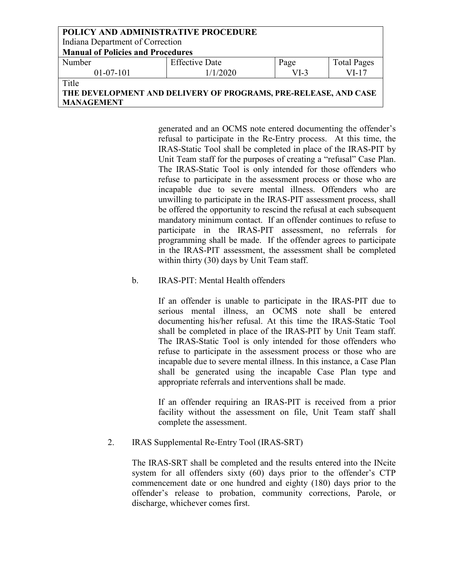| POLICY AND ADMINISTRATIVE PROCEDURE                             |                       |        |                    |
|-----------------------------------------------------------------|-----------------------|--------|--------------------|
| Indiana Department of Correction                                |                       |        |                    |
| <b>Manual of Policies and Procedures</b>                        |                       |        |                    |
| Number                                                          | <b>Effective Date</b> | Page   | <b>Total Pages</b> |
| $01-07-101$                                                     | 1/1/2020              | $VI-3$ | $VI-17$            |
| Title                                                           |                       |        |                    |
| THE DEVELOPMENT AND DELIVERY OF PROGRAMS, PRE-RELEASE, AND CASE |                       |        |                    |
| <b>MANAGEMENT</b>                                               |                       |        |                    |

generated and an OCMS note entered documenting the offender's refusal to participate in the Re-Entry process. At this time, the IRAS-Static Tool shall be completed in place of the IRAS-PIT by Unit Team staff for the purposes of creating a "refusal" Case Plan. The IRAS-Static Tool is only intended for those offenders who refuse to participate in the assessment process or those who are incapable due to severe mental illness. Offenders who are unwilling to participate in the IRAS-PIT assessment process, shall be offered the opportunity to rescind the refusal at each subsequent mandatory minimum contact. If an offender continues to refuse to participate in the IRAS-PIT assessment, no referrals for programming shall be made. If the offender agrees to participate in the IRAS-PIT assessment, the assessment shall be completed within thirty (30) days by Unit Team staff.

### b. IRAS-PIT: Mental Health offenders

If an offender is unable to participate in the IRAS-PIT due to serious mental illness, an OCMS note shall be entered documenting his/her refusal. At this time the IRAS-Static Tool shall be completed in place of the IRAS-PIT by Unit Team staff. The IRAS-Static Tool is only intended for those offenders who refuse to participate in the assessment process or those who are incapable due to severe mental illness. In this instance, a Case Plan shall be generated using the incapable Case Plan type and appropriate referrals and interventions shall be made.

If an offender requiring an IRAS-PIT is received from a prior facility without the assessment on file, Unit Team staff shall complete the assessment.

### 2. IRAS Supplemental Re-Entry Tool (IRAS-SRT)

The IRAS-SRT shall be completed and the results entered into the INcite system for all offenders sixty (60) days prior to the offender's CTP commencement date or one hundred and eighty (180) days prior to the offender's release to probation, community corrections, Parole, or discharge, whichever comes first.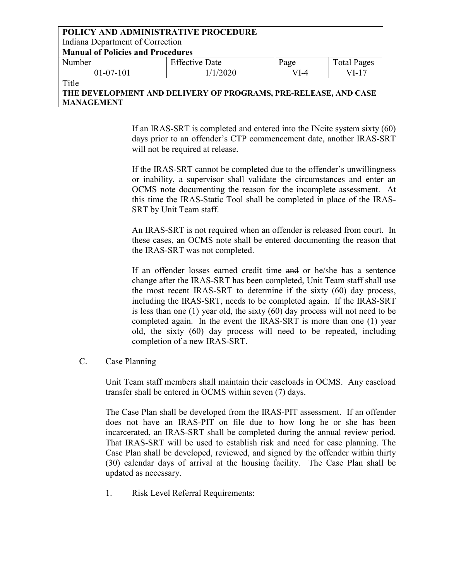| <b>POLICY AND ADMINISTRATIVE PROCEDURE</b> |                       |      |                    |  |
|--------------------------------------------|-----------------------|------|--------------------|--|
| Indiana Department of Correction           |                       |      |                    |  |
| <b>Manual of Policies and Procedures</b>   |                       |      |                    |  |
| Number                                     | <b>Effective Date</b> | Page | <b>Total Pages</b> |  |
| $01-07-101$                                | 1/1/2020              | VI-4 | VI-17              |  |
| Title                                      |                       |      |                    |  |

# **THE DEVELOPMENT AND DELIVERY OF PROGRAMS, PRE-RELEASE, AND CASE MANAGEMENT**

If an IRAS-SRT is completed and entered into the INcite system sixty (60) days prior to an offender's CTP commencement date, another IRAS-SRT will not be required at release.

If the IRAS-SRT cannot be completed due to the offender's unwillingness or inability, a supervisor shall validate the circumstances and enter an OCMS note documenting the reason for the incomplete assessment. At this time the IRAS-Static Tool shall be completed in place of the IRAS-SRT by Unit Team staff.

An IRAS-SRT is not required when an offender is released from court. In these cases, an OCMS note shall be entered documenting the reason that the IRAS-SRT was not completed.

If an offender losses earned credit time and or he/she has a sentence change after the IRAS-SRT has been completed, Unit Team staff shall use the most recent IRAS-SRT to determine if the sixty (60) day process, including the IRAS-SRT, needs to be completed again. If the IRAS-SRT is less than one (1) year old, the sixty (60) day process will not need to be completed again. In the event the IRAS-SRT is more than one (1) year old, the sixty (60) day process will need to be repeated, including completion of a new IRAS-SRT.

C. Case Planning

Unit Team staff members shall maintain their caseloads in OCMS. Any caseload transfer shall be entered in OCMS within seven (7) days.

The Case Plan shall be developed from the IRAS-PIT assessment. If an offender does not have an IRAS-PIT on file due to how long he or she has been incarcerated, an IRAS-SRT shall be completed during the annual review period. That IRAS-SRT will be used to establish risk and need for case planning. The Case Plan shall be developed, reviewed, and signed by the offender within thirty (30) calendar days of arrival at the housing facility. The Case Plan shall be updated as necessary.

1. Risk Level Referral Requirements: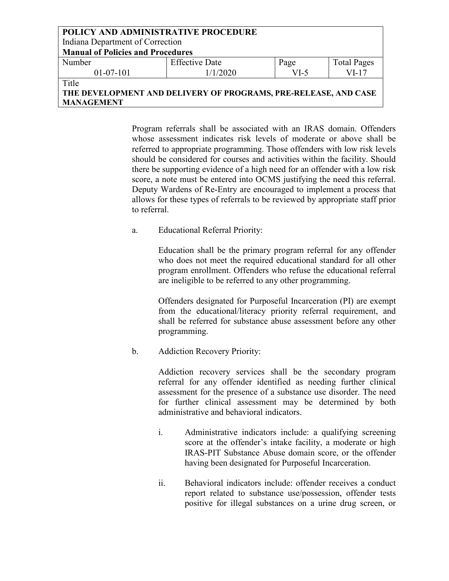| <b>POLICY AND ADMINISTRATIVE PROCEDURE</b>                      |                       |        |                    |
|-----------------------------------------------------------------|-----------------------|--------|--------------------|
| Indiana Department of Correction                                |                       |        |                    |
| <b>Manual of Policies and Procedures</b>                        |                       |        |                    |
| Number                                                          | <b>Effective Date</b> | Page   | <b>Total Pages</b> |
| $01-07-101$                                                     | 1/1/2020              | $VI-5$ | $VI-17$            |
| Title                                                           |                       |        |                    |
| THE DEVELOPMENT AND DELIVERY OF PROGRAMS, PRE-RELEASE, AND CASE |                       |        |                    |
| <b>MANAGEMENT</b>                                               |                       |        |                    |

Program referrals shall be associated with an IRAS domain. Offenders whose assessment indicates risk levels of moderate or above shall be referred to appropriate programming. Those offenders with low risk levels should be considered for courses and activities within the facility. Should there be supporting evidence of a high need for an offender with a low risk score, a note must be entered into OCMS justifying the need this referral. Deputy Wardens of Re-Entry are encouraged to implement a process that allows for these types of referrals to be reviewed by appropriate staff prior to referral.

a. Educational Referral Priority:

Education shall be the primary program referral for any offender who does not meet the required educational standard for all other program enrollment. Offenders who refuse the educational referral are ineligible to be referred to any other programming.

Offenders designated for Purposeful Incarceration (PI) are exempt from the educational/literacy priority referral requirement, and shall be referred for substance abuse assessment before any other programming.

b. Addiction Recovery Priority:

Addiction recovery services shall be the secondary program referral for any offender identified as needing further clinical assessment for the presence of a substance use disorder. The need for further clinical assessment may be determined by both administrative and behavioral indicators.

- i. Administrative indicators include: a qualifying screening score at the offender's intake facility, a moderate or high IRAS-PIT Substance Abuse domain score, or the offender having been designated for Purposeful Incarceration.
- ii. Behavioral indicators include: offender receives a conduct report related to substance use/possession, offender tests positive for illegal substances on a urine drug screen, or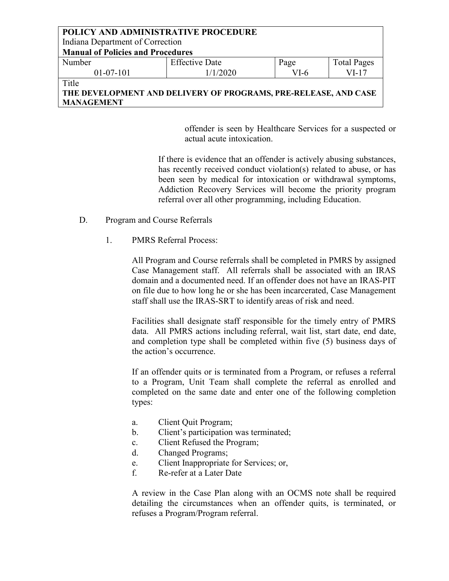| POLICY AND ADMINISTRATIVE PROCEDURE                             |                       |        |                    |  |
|-----------------------------------------------------------------|-----------------------|--------|--------------------|--|
| Indiana Department of Correction                                |                       |        |                    |  |
| <b>Manual of Policies and Procedures</b>                        |                       |        |                    |  |
| Number                                                          | <b>Effective Date</b> | Page   | <b>Total Pages</b> |  |
| $01-07-101$                                                     | 1/1/2020              | $VI-6$ | $VI-17$            |  |
| Title                                                           |                       |        |                    |  |
| THE DEVELOPMENT AND DELIVERY OF PROGRAMS, PRE-RELEASE, AND CASE |                       |        |                    |  |
| <b>MANAGEMENT</b>                                               |                       |        |                    |  |

offender is seen by Healthcare Services for a suspected or actual acute intoxication.

If there is evidence that an offender is actively abusing substances, has recently received conduct violation(s) related to abuse, or has been seen by medical for intoxication or withdrawal symptoms, Addiction Recovery Services will become the priority program referral over all other programming, including Education.

- D. Program and Course Referrals
	- 1. PMRS Referral Process:

All Program and Course referrals shall be completed in PMRS by assigned Case Management staff. All referrals shall be associated with an IRAS domain and a documented need. If an offender does not have an IRAS-PIT on file due to how long he or she has been incarcerated, Case Management staff shall use the IRAS-SRT to identify areas of risk and need.

Facilities shall designate staff responsible for the timely entry of PMRS data. All PMRS actions including referral, wait list, start date, end date, and completion type shall be completed within five (5) business days of the action's occurrence.

If an offender quits or is terminated from a Program, or refuses a referral to a Program, Unit Team shall complete the referral as enrolled and completed on the same date and enter one of the following completion types:

- a. Client Quit Program;
- b. Client's participation was terminated;
- c. Client Refused the Program;
- d. Changed Programs;
- e. Client Inappropriate for Services; or,
- f. Re-refer at a Later Date

A review in the Case Plan along with an OCMS note shall be required detailing the circumstances when an offender quits, is terminated, or refuses a Program/Program referral.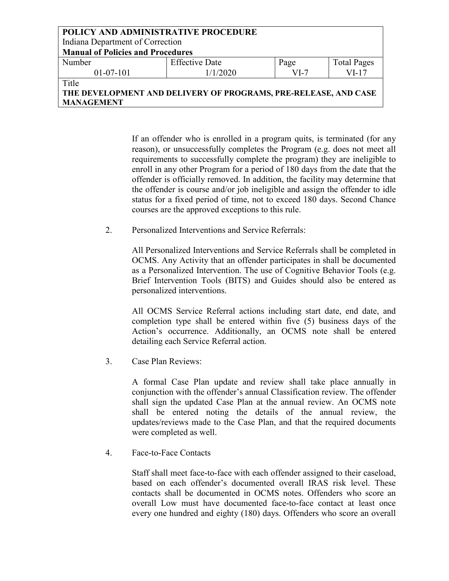| POLICY AND ADMINISTRATIVE PROCEDURE                             |                       |        |                    |
|-----------------------------------------------------------------|-----------------------|--------|--------------------|
| Indiana Department of Correction                                |                       |        |                    |
| <b>Manual of Policies and Procedures</b>                        |                       |        |                    |
| Number                                                          | <b>Effective Date</b> | Page   | <b>Total Pages</b> |
| $01-07-101$                                                     | 1/1/2020              | $VI-7$ | $VI-17$            |
| Title                                                           |                       |        |                    |
| THE DEVELOPMENT AND DELIVERY OF PROGRAMS, PRE-RELEASE, AND CASE |                       |        |                    |
| <b>MANAGEMENT</b>                                               |                       |        |                    |

If an offender who is enrolled in a program quits, is terminated (for any reason), or unsuccessfully completes the Program (e.g. does not meet all requirements to successfully complete the program) they are ineligible to enroll in any other Program for a period of 180 days from the date that the offender is officially removed. In addition, the facility may determine that the offender is course and/or job ineligible and assign the offender to idle status for a fixed period of time, not to exceed 180 days. Second Chance courses are the approved exceptions to this rule.

2. Personalized Interventions and Service Referrals:

All Personalized Interventions and Service Referrals shall be completed in OCMS. Any Activity that an offender participates in shall be documented as a Personalized Intervention. The use of Cognitive Behavior Tools (e.g. Brief Intervention Tools (BITS) and Guides should also be entered as personalized interventions.

All OCMS Service Referral actions including start date, end date, and completion type shall be entered within five (5) business days of the Action's occurrence. Additionally, an OCMS note shall be entered detailing each Service Referral action.

3. Case Plan Reviews:

A formal Case Plan update and review shall take place annually in conjunction with the offender's annual Classification review. The offender shall sign the updated Case Plan at the annual review. An OCMS note shall be entered noting the details of the annual review, the updates/reviews made to the Case Plan, and that the required documents were completed as well.

4. Face-to-Face Contacts

Staff shall meet face-to-face with each offender assigned to their caseload, based on each offender's documented overall IRAS risk level. These contacts shall be documented in OCMS notes. Offenders who score an overall Low must have documented face-to-face contact at least once every one hundred and eighty (180) days. Offenders who score an overall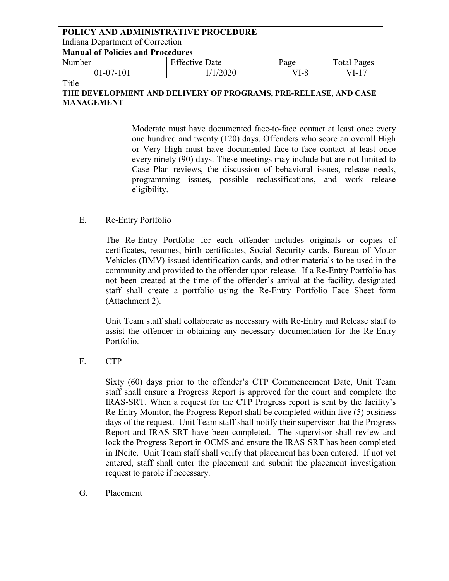| POLICY AND ADMINISTRATIVE PROCEDURE                             |                       |        |                    |  |
|-----------------------------------------------------------------|-----------------------|--------|--------------------|--|
| Indiana Department of Correction                                |                       |        |                    |  |
| <b>Manual of Policies and Procedures</b>                        |                       |        |                    |  |
| Number                                                          | <b>Effective Date</b> | Page   | <b>Total Pages</b> |  |
| $01-07-101$                                                     | 1/1/2020              | $VI-8$ | $VI-17$            |  |
| Title                                                           |                       |        |                    |  |
| THE DEVELOPMENT AND DELIVERY OF PROGRAMS, PRE-RELEASE, AND CASE |                       |        |                    |  |

**MANAGEMENT**

Moderate must have documented face-to-face contact at least once every one hundred and twenty (120) days. Offenders who score an overall High or Very High must have documented face-to-face contact at least once every ninety (90) days. These meetings may include but are not limited to Case Plan reviews, the discussion of behavioral issues, release needs, programming issues, possible reclassifications, and work release eligibility.

### E. Re-Entry Portfolio

The Re-Entry Portfolio for each offender includes originals or copies of certificates, resumes, birth certificates, Social Security cards, Bureau of Motor Vehicles (BMV)-issued identification cards, and other materials to be used in the community and provided to the offender upon release. If a Re-Entry Portfolio has not been created at the time of the offender's arrival at the facility, designated staff shall create a portfolio using the Re-Entry Portfolio Face Sheet form (Attachment 2).

Unit Team staff shall collaborate as necessary with Re-Entry and Release staff to assist the offender in obtaining any necessary documentation for the Re-Entry Portfolio.

### F. CTP

Sixty (60) days prior to the offender's CTP Commencement Date, Unit Team staff shall ensure a Progress Report is approved for the court and complete the IRAS-SRT. When a request for the CTP Progress report is sent by the facility's Re-Entry Monitor, the Progress Report shall be completed within five (5) business days of the request. Unit Team staff shall notify their supervisor that the Progress Report and IRAS-SRT have been completed. The supervisor shall review and lock the Progress Report in OCMS and ensure the IRAS-SRT has been completed in INcite. Unit Team staff shall verify that placement has been entered. If not yet entered, staff shall enter the placement and submit the placement investigation request to parole if necessary.

G. Placement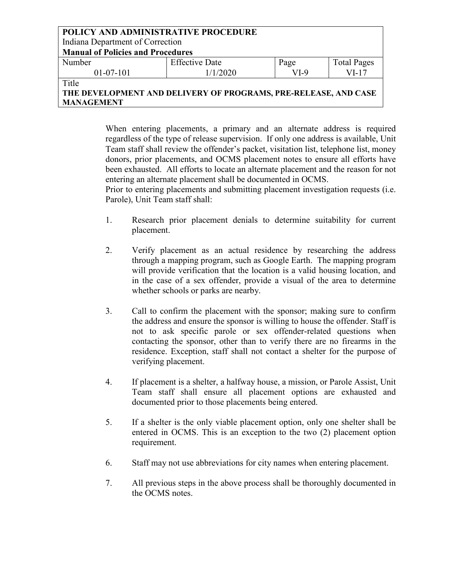| <b>POLICY AND ADMINISTRATIVE PROCEDURE</b>                       |                       |      |                    |  |
|------------------------------------------------------------------|-----------------------|------|--------------------|--|
| Indiana Department of Correction                                 |                       |      |                    |  |
| <b>Manual of Policies and Procedures</b>                         |                       |      |                    |  |
| Number                                                           | <b>Effective Date</b> | Page | <b>Total Pages</b> |  |
| $01-07-101$                                                      | 1/1/2020              | VI-9 | $VI-17$            |  |
| Title                                                            |                       |      |                    |  |
| THE DEVELODMENT AND DELIVEDV OF DDOCD AMS, DDE DELEASE, AND CASE |                       |      |                    |  |

**THE DEVELOPMENT AND DELIVERY OF PROGRAMS, PRE-RELEASE, AND CASE MANAGEMENT**

> When entering placements, a primary and an alternate address is required regardless of the type of release supervision. If only one address is available, Unit Team staff shall review the offender's packet, visitation list, telephone list, money donors, prior placements, and OCMS placement notes to ensure all efforts have been exhausted. All efforts to locate an alternate placement and the reason for not entering an alternate placement shall be documented in OCMS.

> Prior to entering placements and submitting placement investigation requests (i.e. Parole), Unit Team staff shall:

- 1. Research prior placement denials to determine suitability for current placement.
- 2. Verify placement as an actual residence by researching the address through a mapping program, such as Google Earth. The mapping program will provide verification that the location is a valid housing location, and in the case of a sex offender, provide a visual of the area to determine whether schools or parks are nearby.
- 3. Call to confirm the placement with the sponsor; making sure to confirm the address and ensure the sponsor is willing to house the offender. Staff is not to ask specific parole or sex offender-related questions when contacting the sponsor, other than to verify there are no firearms in the residence. Exception, staff shall not contact a shelter for the purpose of verifying placement.
- 4. If placement is a shelter, a halfway house, a mission, or Parole Assist, Unit Team staff shall ensure all placement options are exhausted and documented prior to those placements being entered.
- 5. If a shelter is the only viable placement option, only one shelter shall be entered in OCMS. This is an exception to the two (2) placement option requirement.
- 6. Staff may not use abbreviations for city names when entering placement.
- 7. All previous steps in the above process shall be thoroughly documented in the OCMS notes.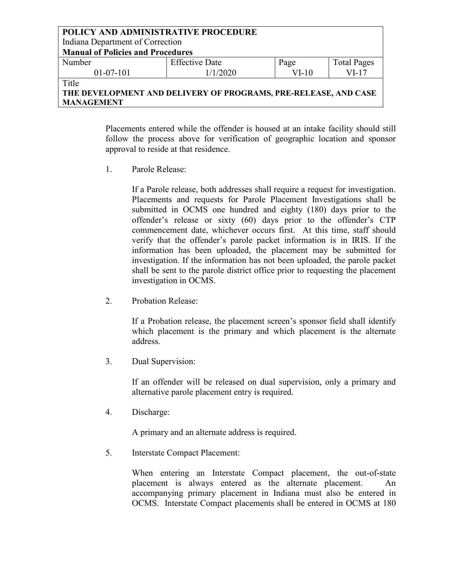| <b>POLICY AND ADMINISTRATIVE PROCEDURE</b><br>Indiana Department of Correction<br><b>Manual of Policies and Procedures</b> |                       |         |                    |
|----------------------------------------------------------------------------------------------------------------------------|-----------------------|---------|--------------------|
| Number                                                                                                                     | <b>Effective Date</b> | Page    | <b>Total Pages</b> |
| $01-07-101$                                                                                                                | 1/1/2020              | $VI-10$ | $VI-17$            |
| Title                                                                                                                      |                       |         |                    |
| THE DEVELOPMENT AND DELIVERY OF PROGRAMS, PRE-RELEASE, AND CASE                                                            |                       |         |                    |
| <b>MANAGEMENT</b>                                                                                                          |                       |         |                    |

Placements entered while the offender is housed at an intake facility should still follow the process above for verification of geographic location and sponsor approval to reside at that residence.

1. Parole Release:

If a Parole release, both addresses shall require a request for investigation. Placements and requests for Parole Placement Investigations shall be submitted in OCMS one hundred and eighty (180) days prior to the offender's release or sixty (60) days prior to the offender's CTP commencement date, whichever occurs first. At this time, staff should verify that the offender's parole packet information is in IRIS. If the information has been uploaded, the placement may be submitted for investigation. If the information has not been uploaded, the parole packet shall be sent to the parole district office prior to requesting the placement investigation in OCMS.

2. Probation Release:

If a Probation release, the placement screen's sponsor field shall identify which placement is the primary and which placement is the alternate address.

3. Dual Supervision:

If an offender will be released on dual supervision, only a primary and alternative parole placement entry is required.

4. Discharge:

A primary and an alternate address is required.

5. Interstate Compact Placement:

When entering an Interstate Compact placement, the out-of-state placement is always entered as the alternate placement. An accompanying primary placement in Indiana must also be entered in OCMS. Interstate Compact placements shall be entered in OCMS at 180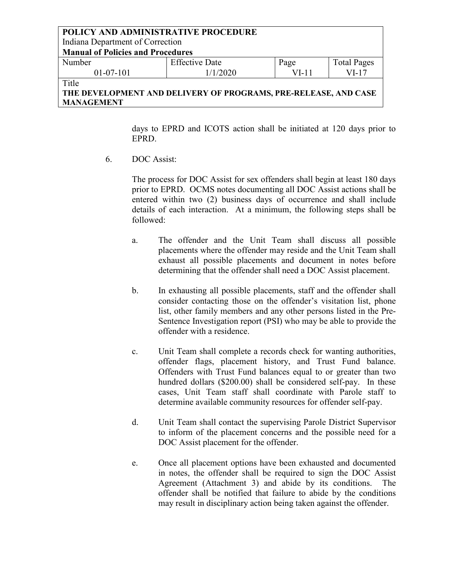#### **POLICY AND ADMINISTRATIVE PROCEDURE** Indiana Department of Correction **Manual of Policies and Procedures** Number 01-07-101 Effective Date 1/1/2020 Page VI-11 Total Pages VI-17 **Title**

# **THE DEVELOPMENT AND DELIVERY OF PROGRAMS, PRE-RELEASE, AND CASE MANAGEMENT**

days to EPRD and ICOTS action shall be initiated at 120 days prior to EPRD.

6. DOC Assist:

The process for DOC Assist for sex offenders shall begin at least 180 days prior to EPRD. OCMS notes documenting all DOC Assist actions shall be entered within two (2) business days of occurrence and shall include details of each interaction. At a minimum, the following steps shall be followed:

- a. The offender and the Unit Team shall discuss all possible placements where the offender may reside and the Unit Team shall exhaust all possible placements and document in notes before determining that the offender shall need a DOC Assist placement.
- b. In exhausting all possible placements, staff and the offender shall consider contacting those on the offender's visitation list, phone list, other family members and any other persons listed in the Pre-Sentence Investigation report (PSI) who may be able to provide the offender with a residence.
- c. Unit Team shall complete a records check for wanting authorities, offender flags, placement history, and Trust Fund balance. Offenders with Trust Fund balances equal to or greater than two hundred dollars (\$200.00) shall be considered self-pay. In these cases, Unit Team staff shall coordinate with Parole staff to determine available community resources for offender self-pay.
- d. Unit Team shall contact the supervising Parole District Supervisor to inform of the placement concerns and the possible need for a DOC Assist placement for the offender.
- e. Once all placement options have been exhausted and documented in notes, the offender shall be required to sign the DOC Assist Agreement (Attachment 3) and abide by its conditions. The offender shall be notified that failure to abide by the conditions may result in disciplinary action being taken against the offender.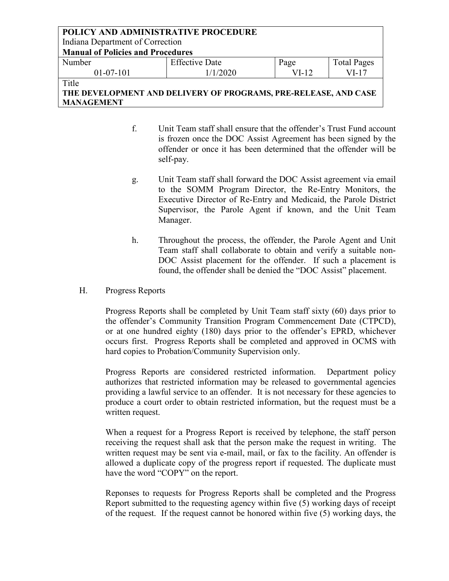### **POLICY AND ADMINISTRATIVE PROCEDURE** Indiana Department of Correction **Manual of Policies and Procedures** Number 01-07-101 Effective Date 1/1/2020 Page VI-12 Total Pages VI-17 **Title**

# **THE DEVELOPMENT AND DELIVERY OF PROGRAMS, PRE-RELEASE, AND CASE MANAGEMENT**

- f. Unit Team staff shall ensure that the offender's Trust Fund account is frozen once the DOC Assist Agreement has been signed by the offender or once it has been determined that the offender will be self-pay.
- g. Unit Team staff shall forward the DOC Assist agreement via email to the SOMM Program Director, the Re-Entry Monitors, the Executive Director of Re-Entry and Medicaid, the Parole District Supervisor, the Parole Agent if known, and the Unit Team Manager.
- h. Throughout the process, the offender, the Parole Agent and Unit Team staff shall collaborate to obtain and verify a suitable non-DOC Assist placement for the offender. If such a placement is found, the offender shall be denied the "DOC Assist" placement.
- H. Progress Reports

Progress Reports shall be completed by Unit Team staff sixty (60) days prior to the offender's Community Transition Program Commencement Date (CTPCD), or at one hundred eighty (180) days prior to the offender's EPRD, whichever occurs first. Progress Reports shall be completed and approved in OCMS with hard copies to Probation/Community Supervision only.

Progress Reports are considered restricted information. Department policy authorizes that restricted information may be released to governmental agencies providing a lawful service to an offender. It is not necessary for these agencies to produce a court order to obtain restricted information, but the request must be a written request.

When a request for a Progress Report is received by telephone, the staff person receiving the request shall ask that the person make the request in writing. The written request may be sent via e-mail, mail, or fax to the facility. An offender is allowed a duplicate copy of the progress report if requested. The duplicate must have the word "COPY" on the report.

Reponses to requests for Progress Reports shall be completed and the Progress Report submitted to the requesting agency within five (5) working days of receipt of the request. If the request cannot be honored within five (5) working days, the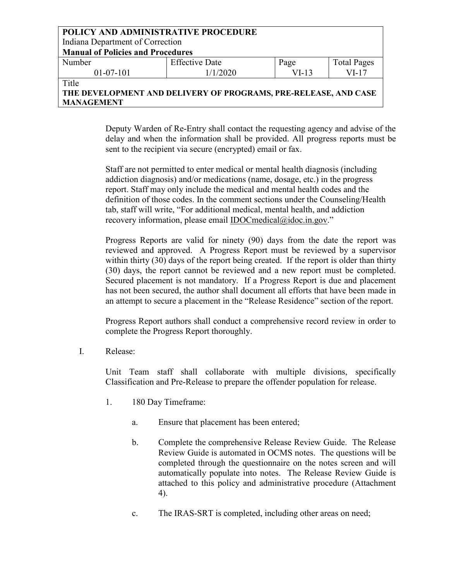### **POLICY AND ADMINISTRATIVE PROCEDURE** Indiana Department of Correction **Manual of Policies and Procedures** Number 01-07-101 Effective Date 1/1/2020 Page VI-13 Total Pages VI-17

**Title** 

**THE DEVELOPMENT AND DELIVERY OF PROGRAMS, PRE-RELEASE, AND CASE MANAGEMENT**

> Deputy Warden of Re-Entry shall contact the requesting agency and advise of the delay and when the information shall be provided. All progress reports must be sent to the recipient via secure (encrypted) email or fax.

Staff are not permitted to enter medical or mental health diagnosis (including addiction diagnosis) and/or medications (name, dosage, etc.) in the progress report. Staff may only include the medical and mental health codes and the definition of those codes. In the comment sections under the Counseling/Health tab, staff will write, "For additional medical, mental health, and addiction recovery information, please email IDOCmedical@idoc.in.gov."

Progress Reports are valid for ninety (90) days from the date the report was reviewed and approved. A Progress Report must be reviewed by a supervisor within thirty (30) days of the report being created. If the report is older than thirty (30) days, the report cannot be reviewed and a new report must be completed. Secured placement is not mandatory. If a Progress Report is due and placement has not been secured, the author shall document all efforts that have been made in an attempt to secure a placement in the "Release Residence" section of the report.

Progress Report authors shall conduct a comprehensive record review in order to complete the Progress Report thoroughly.

I. Release:

Unit Team staff shall collaborate with multiple divisions, specifically Classification and Pre-Release to prepare the offender population for release.

- 1. 180 Day Timeframe:
	- a. Ensure that placement has been entered;
	- b. Complete the comprehensive Release Review Guide. The Release Review Guide is automated in OCMS notes. The questions will be completed through the questionnaire on the notes screen and will automatically populate into notes. The Release Review Guide is attached to this policy and administrative procedure (Attachment 4).
	- c. The IRAS-SRT is completed, including other areas on need;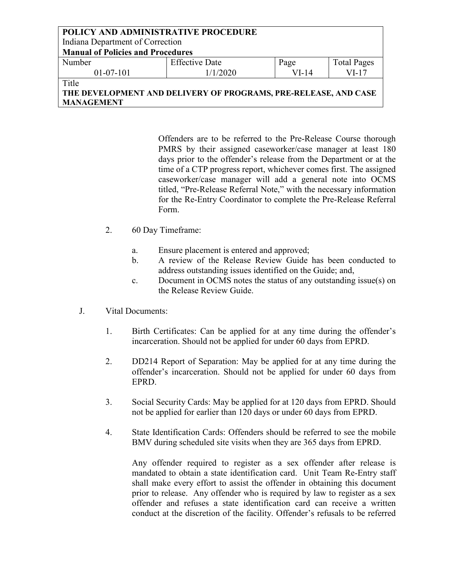| <b>POLICY AND ADMINISTRATIVE PROCEDURE</b> |                       |       |                    |  |
|--------------------------------------------|-----------------------|-------|--------------------|--|
| Indiana Department of Correction           |                       |       |                    |  |
| <b>Manual of Policies and Procedures</b>   |                       |       |                    |  |
| Number                                     | <b>Effective Date</b> | Page  | <b>Total Pages</b> |  |
| $01 - 07 - 101$                            | 1/1/2020              | VI-14 | VI-17              |  |

**Title** 

# **THE DEVELOPMENT AND DELIVERY OF PROGRAMS, PRE-RELEASE, AND CASE MANAGEMENT**

Offenders are to be referred to the Pre-Release Course thorough PMRS by their assigned caseworker/case manager at least 180 days prior to the offender's release from the Department or at the time of a CTP progress report, whichever comes first. The assigned caseworker/case manager will add a general note into OCMS titled, "Pre-Release Referral Note," with the necessary information for the Re-Entry Coordinator to complete the Pre-Release Referral Form.

- 2. 60 Day Timeframe:
	- a. Ensure placement is entered and approved;
	- b. A review of the Release Review Guide has been conducted to address outstanding issues identified on the Guide; and,
	- c. Document in OCMS notes the status of any outstanding issue(s) on the Release Review Guide.
- J. Vital Documents:
	- 1. Birth Certificates: Can be applied for at any time during the offender's incarceration. Should not be applied for under 60 days from EPRD.
	- 2. DD214 Report of Separation: May be applied for at any time during the offender's incarceration. Should not be applied for under 60 days from EPRD.
	- 3. Social Security Cards: May be applied for at 120 days from EPRD. Should not be applied for earlier than 120 days or under 60 days from EPRD.
	- 4. State Identification Cards: Offenders should be referred to see the mobile BMV during scheduled site visits when they are 365 days from EPRD.

Any offender required to register as a sex offender after release is mandated to obtain a state identification card. Unit Team Re-Entry staff shall make every effort to assist the offender in obtaining this document prior to release. Any offender who is required by law to register as a sex offender and refuses a state identification card can receive a written conduct at the discretion of the facility. Offender's refusals to be referred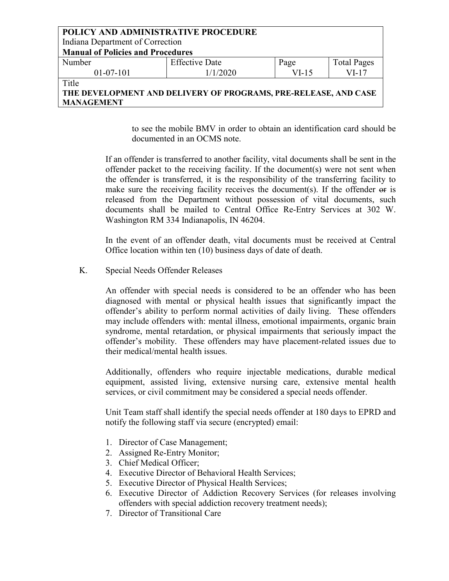| POLICY AND ADMINISTRATIVE PROCEDURE                             |                       |         |                    |  |
|-----------------------------------------------------------------|-----------------------|---------|--------------------|--|
| Indiana Department of Correction                                |                       |         |                    |  |
| <b>Manual of Policies and Procedures</b>                        |                       |         |                    |  |
| Number                                                          | <b>Effective Date</b> | Page    | <b>Total Pages</b> |  |
| $01-07-101$                                                     | 1/1/2020              | $VI-15$ | $VI-17$            |  |
| Title                                                           |                       |         |                    |  |
| THE DEVELOPMENT AND DELIVERY OF PROGRAMS, PRE-RELEASE, AND CASE |                       |         |                    |  |
| <b>MANAGEMENT</b>                                               |                       |         |                    |  |

to see the mobile BMV in order to obtain an identification card should be documented in an OCMS note.

If an offender is transferred to another facility, vital documents shall be sent in the offender packet to the receiving facility. If the document(s) were not sent when the offender is transferred, it is the responsibility of the transferring facility to make sure the receiving facility receives the document(s). If the offender  $\Theta$  is released from the Department without possession of vital documents, such documents shall be mailed to Central Office Re-Entry Services at 302 W. Washington RM 334 Indianapolis, IN 46204.

In the event of an offender death, vital documents must be received at Central Office location within ten (10) business days of date of death.

K. Special Needs Offender Releases

An offender with special needs is considered to be an offender who has been diagnosed with mental or physical health issues that significantly impact the offender's ability to perform normal activities of daily living. These offenders may include offenders with: mental illness, emotional impairments, organic brain syndrome, mental retardation, or physical impairments that seriously impact the offender's mobility. These offenders may have placement-related issues due to their medical/mental health issues.

Additionally, offenders who require injectable medications, durable medical equipment, assisted living, extensive nursing care, extensive mental health services, or civil commitment may be considered a special needs offender.

Unit Team staff shall identify the special needs offender at 180 days to EPRD and notify the following staff via secure (encrypted) email:

- 1. Director of Case Management;
- 2. Assigned Re-Entry Monitor;
- 3. Chief Medical Officer;
- 4. Executive Director of Behavioral Health Services;
- 5. Executive Director of Physical Health Services;
- 6. Executive Director of Addiction Recovery Services (for releases involving offenders with special addiction recovery treatment needs);
- 7. Director of Transitional Care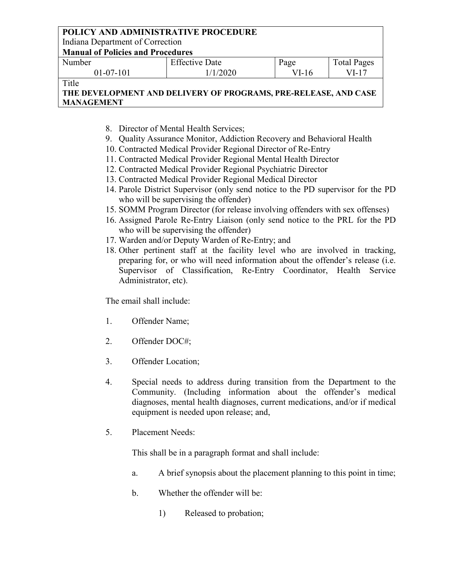Indiana Department of Correction

**Manual of Policies and Procedures**

| Number      | <b>Effective Date</b> | Page  | <b>Total Pages</b> |
|-------------|-----------------------|-------|--------------------|
| $01-07-101$ | 1/2020                | VI-16 | $VI-1$             |
| $-1$        |                       |       |                    |

Title

# **THE DEVELOPMENT AND DELIVERY OF PROGRAMS, PRE-RELEASE, AND CASE MANAGEMENT**

- 8. Director of Mental Health Services;
- 9. Quality Assurance Monitor, Addiction Recovery and Behavioral Health
- 10. Contracted Medical Provider Regional Director of Re-Entry
- 11. Contracted Medical Provider Regional Mental Health Director
- 12. Contracted Medical Provider Regional Psychiatric Director
- 13. Contracted Medical Provider Regional Medical Director
- 14. Parole District Supervisor (only send notice to the PD supervisor for the PD who will be supervising the offender)
- 15. SOMM Program Director (for release involving offenders with sex offenses)
- 16. Assigned Parole Re-Entry Liaison (only send notice to the PRL for the PD who will be supervising the offender)
- 17. Warden and/or Deputy Warden of Re-Entry; and
- 18. Other pertinent staff at the facility level who are involved in tracking, preparing for, or who will need information about the offender's release (i.e. Supervisor of Classification, Re-Entry Coordinator, Health Service Administrator, etc).

The email shall include:

- 1. Offender Name;
- 2. Offender DOC#;
- 3. Offender Location;
- 4. Special needs to address during transition from the Department to the Community. (Including information about the offender's medical diagnoses, mental health diagnoses, current medications, and/or if medical equipment is needed upon release; and,
- 5. Placement Needs:

This shall be in a paragraph format and shall include:

- a. A brief synopsis about the placement planning to this point in time;
- b. Whether the offender will be:
	- 1) Released to probation;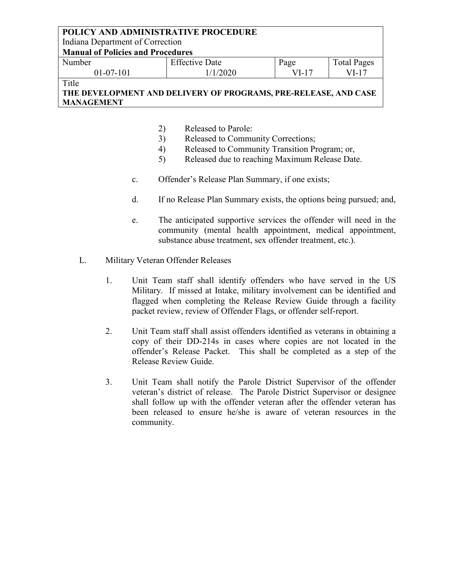Indiana Department of Correction

### **Manual of Policies and Procedures**

| Number      | <b>Effective Date</b> | nage | $\mathbf{r}$<br><i>l</i> 'otal Pages |
|-------------|-----------------------|------|--------------------------------------|
| $01-07-101$ | 2020                  | 'I-. | $\sqrt{1-1}$                         |

**Title** 

- 2) Released to Parole:
- 3) Released to Community Corrections;
- 4) Released to Community Transition Program; or,
- 5) Released due to reaching Maximum Release Date.
- c. Offender's Release Plan Summary, if one exists;
- d. If no Release Plan Summary exists, the options being pursued; and,
- e. The anticipated supportive services the offender will need in the community (mental health appointment, medical appointment, substance abuse treatment, sex offender treatment, etc.).
- L. Military Veteran Offender Releases
	- 1. Unit Team staff shall identify offenders who have served in the US Military. If missed at Intake, military involvement can be identified and flagged when completing the Release Review Guide through a facility packet review, review of Offender Flags, or offender self-report.
	- 2. Unit Team staff shall assist offenders identified as veterans in obtaining a copy of their DD-214s in cases where copies are not located in the offender's Release Packet. This shall be completed as a step of the Release Review Guide.
	- 3. Unit Team shall notify the Parole District Supervisor of the offender veteran's district of release. The Parole District Supervisor or designee shall follow up with the offender veteran after the offender veteran has been released to ensure he/she is aware of veteran resources in the community.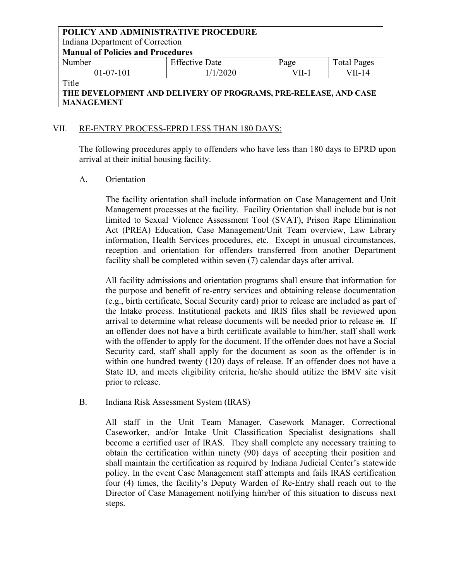Indiana Department of Correction

**Manual of Policies and Procedures**

| Number      | <b>Effective Date</b> | Page | <b>Total Pages</b> |
|-------------|-----------------------|------|--------------------|
| $01-07-101$ | 1/1/2020              | VII- | VII-14             |
| $T^*$ . 1   |                       |      |                    |

### Title

# **THE DEVELOPMENT AND DELIVERY OF PROGRAMS, PRE-RELEASE, AND CASE MANAGEMENT**

## VII. RE-ENTRY PROCESS-EPRD LESS THAN 180 DAYS:

The following procedures apply to offenders who have less than 180 days to EPRD upon arrival at their initial housing facility.

### A. Orientation

The facility orientation shall include information on Case Management and Unit Management processes at the facility. Facility Orientation shall include but is not limited to Sexual Violence Assessment Tool (SVAT), Prison Rape Elimination Act (PREA) Education, Case Management/Unit Team overview, Law Library information, Health Services procedures, etc. Except in unusual circumstances, reception and orientation for offenders transferred from another Department facility shall be completed within seven (7) calendar days after arrival.

All facility admissions and orientation programs shall ensure that information for the purpose and benefit of re-entry services and obtaining release documentation (e.g., birth certificate, Social Security card) prior to release are included as part of the Intake process. Institutional packets and IRIS files shall be reviewed upon arrival to determine what release documents will be needed prior to release  $\frac{1}{2}$ . If an offender does not have a birth certificate available to him/her, staff shall work with the offender to apply for the document. If the offender does not have a Social Security card, staff shall apply for the document as soon as the offender is in within one hundred twenty (120) days of release. If an offender does not have a State ID, and meets eligibility criteria, he/she should utilize the BMV site visit prior to release.

B. Indiana Risk Assessment System (IRAS)

All staff in the Unit Team Manager, Casework Manager, Correctional Caseworker, and/or Intake Unit Classification Specialist designations shall become a certified user of IRAS. They shall complete any necessary training to obtain the certification within ninety (90) days of accepting their position and shall maintain the certification as required by Indiana Judicial Center's statewide policy. In the event Case Management staff attempts and fails IRAS certification four (4) times, the facility's Deputy Warden of Re-Entry shall reach out to the Director of Case Management notifying him/her of this situation to discuss next steps.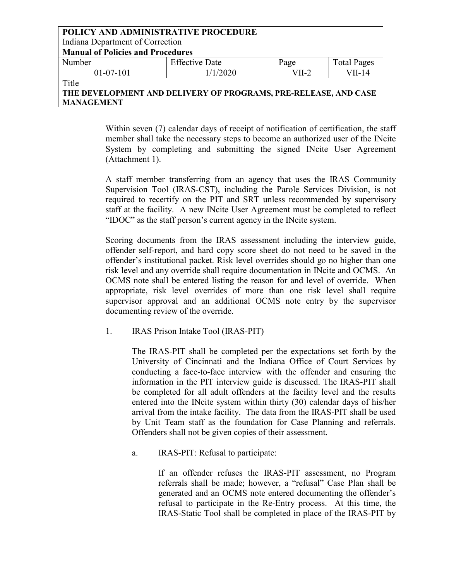| POLICY AND ADMINISTRATIVE PROCEDURE                             |                       |         |                    |  |  |
|-----------------------------------------------------------------|-----------------------|---------|--------------------|--|--|
| Indiana Department of Correction                                |                       |         |                    |  |  |
| <b>Manual of Policies and Procedures</b>                        |                       |         |                    |  |  |
| Number                                                          | <b>Effective Date</b> | Page    | <b>Total Pages</b> |  |  |
| $01-07-101$                                                     | 1/1/2020              | $VII-2$ | $VII-14$           |  |  |
| Title                                                           |                       |         |                    |  |  |
| THE DEVELOPMENT AND DELIVERY OF PROGRAMS, PRE-RELEASE, AND CASE |                       |         |                    |  |  |

**MANAGEMENT**

Within seven (7) calendar days of receipt of notification of certification, the staff

member shall take the necessary steps to become an authorized user of the INcite System by completing and submitting the signed INcite User Agreement (Attachment 1).

A staff member transferring from an agency that uses the IRAS Community Supervision Tool (IRAS-CST), including the Parole Services Division, is not required to recertify on the PIT and SRT unless recommended by supervisory staff at the facility. A new INcite User Agreement must be completed to reflect "IDOC" as the staff person's current agency in the INcite system.

Scoring documents from the IRAS assessment including the interview guide, offender self-report, and hard copy score sheet do not need to be saved in the offender's institutional packet. Risk level overrides should go no higher than one risk level and any override shall require documentation in INcite and OCMS. An OCMS note shall be entered listing the reason for and level of override. When appropriate, risk level overrides of more than one risk level shall require supervisor approval and an additional OCMS note entry by the supervisor documenting review of the override.

1. IRAS Prison Intake Tool (IRAS-PIT)

The IRAS-PIT shall be completed per the expectations set forth by the University of Cincinnati and the Indiana Office of Court Services by conducting a face-to-face interview with the offender and ensuring the information in the PIT interview guide is discussed. The IRAS-PIT shall be completed for all adult offenders at the facility level and the results entered into the INcite system within thirty (30) calendar days of his/her arrival from the intake facility. The data from the IRAS-PIT shall be used by Unit Team staff as the foundation for Case Planning and referrals. Offenders shall not be given copies of their assessment.

a. IRAS-PIT: Refusal to participate:

If an offender refuses the IRAS-PIT assessment, no Program referrals shall be made; however, a "refusal" Case Plan shall be generated and an OCMS note entered documenting the offender's refusal to participate in the Re-Entry process. At this time, the IRAS-Static Tool shall be completed in place of the IRAS-PIT by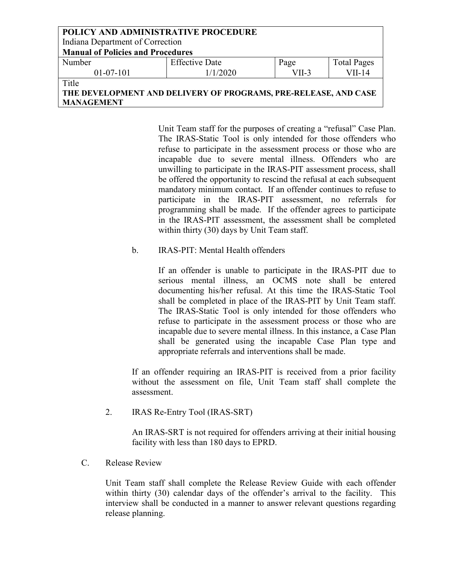| POLICY AND ADMINISTRATIVE PROCEDURE                                      |                       |         |                    |  |  |
|--------------------------------------------------------------------------|-----------------------|---------|--------------------|--|--|
| Indiana Department of Correction                                         |                       |         |                    |  |  |
| <b>Manual of Policies and Procedures</b>                                 |                       |         |                    |  |  |
| Number                                                                   | <b>Effective Date</b> | Page    | <b>Total Pages</b> |  |  |
| $01-07-101$                                                              | 1/1/2020              | $VII-3$ | $VII-14$           |  |  |
| Title<br>THE DEVELOPMENT AND DELIVERY OF PROGRAMS, PRE-RELEASE, AND CASE |                       |         |                    |  |  |

Unit Team staff for the purposes of creating a "refusal" Case Plan. The IRAS-Static Tool is only intended for those offenders who refuse to participate in the assessment process or those who are incapable due to severe mental illness. Offenders who are unwilling to participate in the IRAS-PIT assessment process, shall be offered the opportunity to rescind the refusal at each subsequent mandatory minimum contact. If an offender continues to refuse to participate in the IRAS-PIT assessment, no referrals for programming shall be made. If the offender agrees to participate in the IRAS-PIT assessment, the assessment shall be completed within thirty (30) days by Unit Team staff.

b. IRAS-PIT: Mental Health offenders

If an offender is unable to participate in the IRAS-PIT due to serious mental illness, an OCMS note shall be entered documenting his/her refusal. At this time the IRAS-Static Tool shall be completed in place of the IRAS-PIT by Unit Team staff. The IRAS-Static Tool is only intended for those offenders who refuse to participate in the assessment process or those who are incapable due to severe mental illness. In this instance, a Case Plan shall be generated using the incapable Case Plan type and appropriate referrals and interventions shall be made.

If an offender requiring an IRAS-PIT is received from a prior facility without the assessment on file, Unit Team staff shall complete the assessment.

2. IRAS Re-Entry Tool (IRAS-SRT)

An IRAS-SRT is not required for offenders arriving at their initial housing facility with less than 180 days to EPRD.

C. Release Review

**MANAGEMENT**

Unit Team staff shall complete the Release Review Guide with each offender within thirty (30) calendar days of the offender's arrival to the facility. This interview shall be conducted in a manner to answer relevant questions regarding release planning.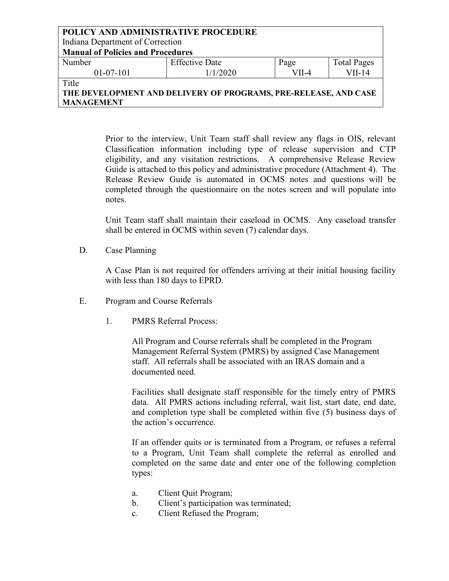| POLICY AND ADMINISTRATIVE PROCEDURE                             |                       |         |                    |  |  |
|-----------------------------------------------------------------|-----------------------|---------|--------------------|--|--|
| Indiana Department of Correction                                |                       |         |                    |  |  |
| <b>Manual of Policies and Procedures</b>                        |                       |         |                    |  |  |
| Number                                                          | <b>Effective Date</b> | Page    | <b>Total Pages</b> |  |  |
| $01-07-101$                                                     | 1/1/2020              | $VII-4$ | $VII-14$           |  |  |
| Title                                                           |                       |         |                    |  |  |
| THE DEVELOPMENT AND DELIVERY OF PROGRAMS, PRE-RELEASE, AND CASE |                       |         |                    |  |  |

**MANAGEMENT**

Prior to the interview, Unit Team staff shall review any flags in OIS, relevant Classification information including type of release supervision and CTP eligibility, and any visitation restrictions. A comprehensive Release Review Guide is attached to this policy and administrative procedure (Attachment 4). The Release Review Guide is automated in OCMS notes and questions will be completed through the questionnaire on the notes screen and will populate into notes.

Unit Team staff shall maintain their caseload in OCMS. Any caseload transfer shall be entered in OCMS within seven (7) calendar days.

D. Case Planning

A Case Plan is not required for offenders arriving at their initial housing facility with less than 180 days to EPRD.

- E. Program and Course Referrals
	- 1. PMRS Referral Process:

All Program and Course referrals shall be completed in the Program Management Referral System (PMRS) by assigned Case Management staff. All referrals shall be associated with an IRAS domain and a documented need.

Facilities shall designate staff responsible for the timely entry of PMRS data. All PMRS actions including referral, wait list, start date, end date, and completion type shall be completed within five (5) business days of the action's occurrence.

If an offender quits or is terminated from a Program, or refuses a referral to a Program, Unit Team shall complete the referral as enrolled and completed on the same date and enter one of the following completion types:

- a. Client Quit Program;
- b. Client's participation was terminated;
- c. Client Refused the Program;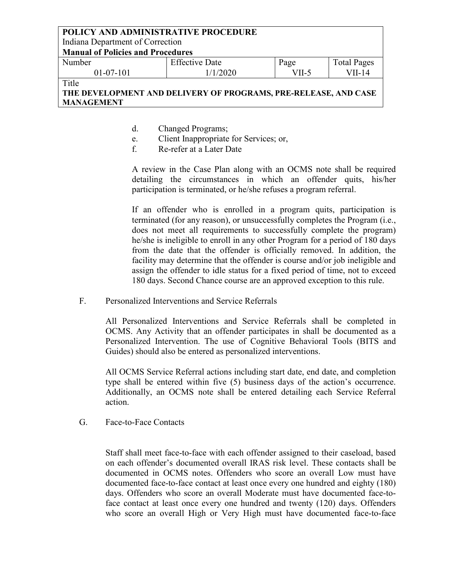Indiana Department of Correction

**Manual of Policies and Procedures**

| Number    | $\Gamma$ CC.<br>Effective Date | Page      | $\overline{ }$<br>Fotal Pages |
|-----------|--------------------------------|-----------|-------------------------------|
| 01-07-101 | 1/2020                         | $^7$ II-5 | II-14                         |
|           |                                |           |                               |

Title

# **THE DEVELOPMENT AND DELIVERY OF PROGRAMS, PRE-RELEASE, AND CASE MANAGEMENT**

- d. Changed Programs;
- e. Client Inappropriate for Services; or,
- f. Re-refer at a Later Date

A review in the Case Plan along with an OCMS note shall be required detailing the circumstances in which an offender quits, his/her participation is terminated, or he/she refuses a program referral.

If an offender who is enrolled in a program quits, participation is terminated (for any reason), or unsuccessfully completes the Program (i.e., does not meet all requirements to successfully complete the program) he/she is ineligible to enroll in any other Program for a period of 180 days from the date that the offender is officially removed. In addition, the facility may determine that the offender is course and/or job ineligible and assign the offender to idle status for a fixed period of time, not to exceed 180 days. Second Chance course are an approved exception to this rule.

F. Personalized Interventions and Service Referrals

All Personalized Interventions and Service Referrals shall be completed in OCMS. Any Activity that an offender participates in shall be documented as a Personalized Intervention. The use of Cognitive Behavioral Tools (BITS and Guides) should also be entered as personalized interventions.

All OCMS Service Referral actions including start date, end date, and completion type shall be entered within five (5) business days of the action's occurrence. Additionally, an OCMS note shall be entered detailing each Service Referral action.

G. Face-to-Face Contacts

Staff shall meet face-to-face with each offender assigned to their caseload, based on each offender's documented overall IRAS risk level. These contacts shall be documented in OCMS notes. Offenders who score an overall Low must have documented face-to-face contact at least once every one hundred and eighty (180) days. Offenders who score an overall Moderate must have documented face-toface contact at least once every one hundred and twenty (120) days. Offenders who score an overall High or Very High must have documented face-to-face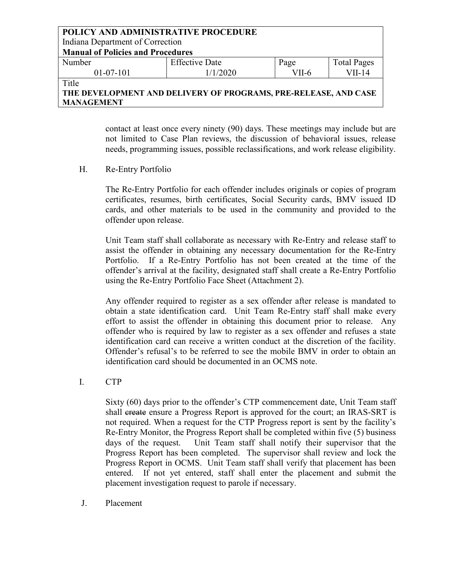#### **POLICY AND ADMINISTRATIVE PROCEDURE** Indiana Department of Correction **Manual of Policies and Procedures** Number 01-07-101 Effective Date 1/1/2020 Page VII-6 Total Pages VII-14

**Title** 

# **THE DEVELOPMENT AND DELIVERY OF PROGRAMS, PRE-RELEASE, AND CASE MANAGEMENT**

contact at least once every ninety (90) days. These meetings may include but are not limited to Case Plan reviews, the discussion of behavioral issues, release needs, programming issues, possible reclassifications, and work release eligibility.

H. Re-Entry Portfolio

The Re-Entry Portfolio for each offender includes originals or copies of program certificates, resumes, birth certificates, Social Security cards, BMV issued ID cards, and other materials to be used in the community and provided to the offender upon release.

Unit Team staff shall collaborate as necessary with Re-Entry and release staff to assist the offender in obtaining any necessary documentation for the Re-Entry Portfolio. If a Re-Entry Portfolio has not been created at the time of the offender's arrival at the facility, designated staff shall create a Re-Entry Portfolio using the Re-Entry Portfolio Face Sheet (Attachment 2).

Any offender required to register as a sex offender after release is mandated to obtain a state identification card. Unit Team Re-Entry staff shall make every effort to assist the offender in obtaining this document prior to release. Any offender who is required by law to register as a sex offender and refuses a state identification card can receive a written conduct at the discretion of the facility. Offender's refusal's to be referred to see the mobile BMV in order to obtain an identification card should be documented in an OCMS note.

I. CTP

Sixty (60) days prior to the offender's CTP commencement date, Unit Team staff shall ereate ensure a Progress Report is approved for the court; an IRAS-SRT is not required. When a request for the CTP Progress report is sent by the facility's Re-Entry Monitor, the Progress Report shall be completed within five (5) business days of the request. Unit Team staff shall notify their supervisor that the Progress Report has been completed. The supervisor shall review and lock the Progress Report in OCMS. Unit Team staff shall verify that placement has been entered. If not yet entered, staff shall enter the placement and submit the placement investigation request to parole if necessary.

J. Placement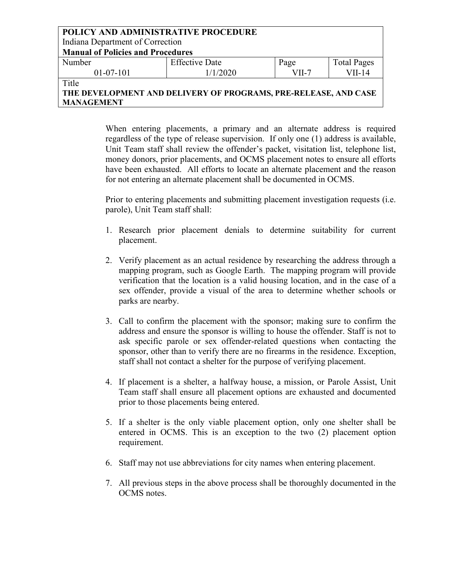| POLICY AND ADMINISTRATIVE PROCEDURE                             |                       |         |                    |  |  |
|-----------------------------------------------------------------|-----------------------|---------|--------------------|--|--|
| Indiana Department of Correction                                |                       |         |                    |  |  |
| <b>Manual of Policies and Procedures</b>                        |                       |         |                    |  |  |
| Number                                                          | <b>Effective Date</b> | Page    | <b>Total Pages</b> |  |  |
| $01-07-101$                                                     | 1/1/2020              | $VII-7$ | $VII-14$           |  |  |
| Title                                                           |                       |         |                    |  |  |
| THE DEVELOPMENT AND DELIVERY OF PROGRAMS, PRE-RELEASE, AND CASE |                       |         |                    |  |  |

**THE DEVELOPMENT AND DELIVERY OF PROGRAMS, PRE-RELEASE, AND CASE MANAGEMENT**

> When entering placements, a primary and an alternate address is required regardless of the type of release supervision. If only one (1) address is available, Unit Team staff shall review the offender's packet, visitation list, telephone list, money donors, prior placements, and OCMS placement notes to ensure all efforts have been exhausted. All efforts to locate an alternate placement and the reason for not entering an alternate placement shall be documented in OCMS.

> Prior to entering placements and submitting placement investigation requests (i.e. parole), Unit Team staff shall:

- 1. Research prior placement denials to determine suitability for current placement.
- 2. Verify placement as an actual residence by researching the address through a mapping program, such as Google Earth. The mapping program will provide verification that the location is a valid housing location, and in the case of a sex offender, provide a visual of the area to determine whether schools or parks are nearby.
- 3. Call to confirm the placement with the sponsor; making sure to confirm the address and ensure the sponsor is willing to house the offender. Staff is not to ask specific parole or sex offender-related questions when contacting the sponsor, other than to verify there are no firearms in the residence. Exception, staff shall not contact a shelter for the purpose of verifying placement.
- 4. If placement is a shelter, a halfway house, a mission, or Parole Assist, Unit Team staff shall ensure all placement options are exhausted and documented prior to those placements being entered.
- 5. If a shelter is the only viable placement option, only one shelter shall be entered in OCMS. This is an exception to the two (2) placement option requirement.
- 6. Staff may not use abbreviations for city names when entering placement.
- 7. All previous steps in the above process shall be thoroughly documented in the OCMS notes.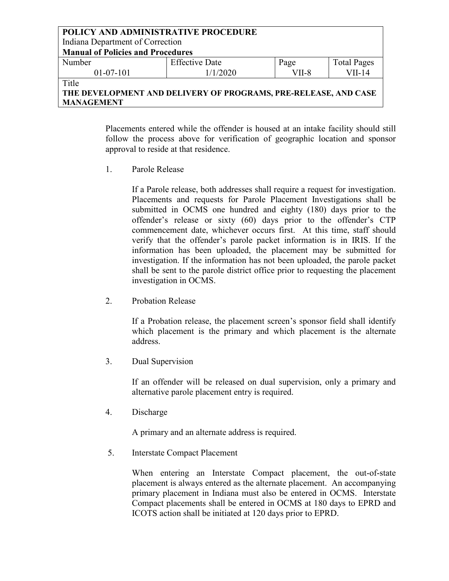| POLICY AND ADMINISTRATIVE PROCEDURE      |                                                                 |         |                    |
|------------------------------------------|-----------------------------------------------------------------|---------|--------------------|
| Indiana Department of Correction         |                                                                 |         |                    |
| <b>Manual of Policies and Procedures</b> |                                                                 |         |                    |
| Number                                   | <b>Effective Date</b>                                           | Page    | <b>Total Pages</b> |
| $01-07-101$                              | 1/1/2020                                                        | $VII-8$ | $VII-14$           |
| Title                                    |                                                                 |         |                    |
|                                          | THE DEVELOPMENT AND DELIVERY OF PROGRAMS, PRE-RELEASE, AND CASE |         |                    |
| <b>MANAGEMENT</b>                        |                                                                 |         |                    |

Placements entered while the offender is housed at an intake facility should still follow the process above for verification of geographic location and sponsor approval to reside at that residence.

1. Parole Release

If a Parole release, both addresses shall require a request for investigation. Placements and requests for Parole Placement Investigations shall be submitted in OCMS one hundred and eighty (180) days prior to the offender's release or sixty (60) days prior to the offender's CTP commencement date, whichever occurs first. At this time, staff should verify that the offender's parole packet information is in IRIS. If the information has been uploaded, the placement may be submitted for investigation. If the information has not been uploaded, the parole packet shall be sent to the parole district office prior to requesting the placement investigation in OCMS.

2. Probation Release

If a Probation release, the placement screen's sponsor field shall identify which placement is the primary and which placement is the alternate address.

3. Dual Supervision

If an offender will be released on dual supervision, only a primary and alternative parole placement entry is required.

4. Discharge

A primary and an alternate address is required.

5. Interstate Compact Placement

When entering an Interstate Compact placement, the out-of-state placement is always entered as the alternate placement. An accompanying primary placement in Indiana must also be entered in OCMS. Interstate Compact placements shall be entered in OCMS at 180 days to EPRD and ICOTS action shall be initiated at 120 days prior to EPRD.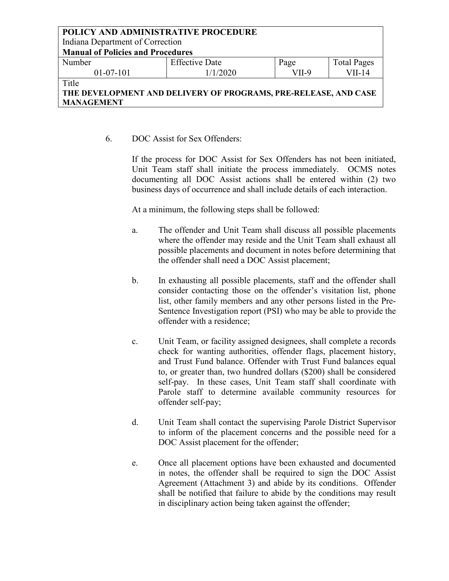Indiana Department of Correction

**Manual of Policies and Procedures**

| Number    | <b>Effective Date</b> | Page    | <b>f</b> otal Pages |
|-----------|-----------------------|---------|---------------------|
| 01-07-101 | 1/1/2020              | $VII-9$ | VII-14              |
| $-1$      |                       |         |                     |

Title

# **THE DEVELOPMENT AND DELIVERY OF PROGRAMS, PRE-RELEASE, AND CASE MANAGEMENT**

6. DOC Assist for Sex Offenders:

If the process for DOC Assist for Sex Offenders has not been initiated, Unit Team staff shall initiate the process immediately. OCMS notes documenting all DOC Assist actions shall be entered within (2) two business days of occurrence and shall include details of each interaction.

At a minimum, the following steps shall be followed:

- a. The offender and Unit Team shall discuss all possible placements where the offender may reside and the Unit Team shall exhaust all possible placements and document in notes before determining that the offender shall need a DOC Assist placement;
- b. In exhausting all possible placements, staff and the offender shall consider contacting those on the offender's visitation list, phone list, other family members and any other persons listed in the Pre-Sentence Investigation report (PSI) who may be able to provide the offender with a residence;
- c. Unit Team, or facility assigned designees, shall complete a records check for wanting authorities, offender flags, placement history, and Trust Fund balance. Offender with Trust Fund balances equal to, or greater than, two hundred dollars (\$200) shall be considered self-pay. In these cases, Unit Team staff shall coordinate with Parole staff to determine available community resources for offender self-pay;
- d. Unit Team shall contact the supervising Parole District Supervisor to inform of the placement concerns and the possible need for a DOC Assist placement for the offender;
- e. Once all placement options have been exhausted and documented in notes, the offender shall be required to sign the DOC Assist Agreement (Attachment 3) and abide by its conditions. Offender shall be notified that failure to abide by the conditions may result in disciplinary action being taken against the offender;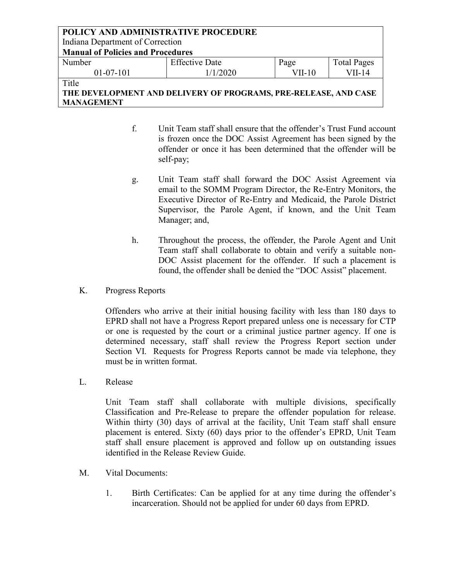### **POLICY AND ADMINISTRATIVE PROCEDURE** Indiana Department of Correction **Manual of Policies and Procedures** Number 01-07-101 Effective Date 1/1/2020 Page VII-10 Total Pages VII-14 **Title**

# **THE DEVELOPMENT AND DELIVERY OF PROGRAMS, PRE-RELEASE, AND CASE MANAGEMENT**

- f. Unit Team staff shall ensure that the offender's Trust Fund account is frozen once the DOC Assist Agreement has been signed by the offender or once it has been determined that the offender will be self-pay;
- g. Unit Team staff shall forward the DOC Assist Agreement via email to the SOMM Program Director, the Re-Entry Monitors, the Executive Director of Re-Entry and Medicaid, the Parole District Supervisor, the Parole Agent, if known, and the Unit Team Manager; and,
- h. Throughout the process, the offender, the Parole Agent and Unit Team staff shall collaborate to obtain and verify a suitable non-DOC Assist placement for the offender. If such a placement is found, the offender shall be denied the "DOC Assist" placement.
- K. Progress Reports

Offenders who arrive at their initial housing facility with less than 180 days to EPRD shall not have a Progress Report prepared unless one is necessary for CTP or one is requested by the court or a criminal justice partner agency. If one is determined necessary, staff shall review the Progress Report section under Section VI. Requests for Progress Reports cannot be made via telephone, they must be in written format.

L. Release

Unit Team staff shall collaborate with multiple divisions, specifically Classification and Pre-Release to prepare the offender population for release. Within thirty (30) days of arrival at the facility, Unit Team staff shall ensure placement is entered. Sixty (60) days prior to the offender's EPRD, Unit Team staff shall ensure placement is approved and follow up on outstanding issues identified in the Release Review Guide.

- M. Vital Documents:
	- 1. Birth Certificates: Can be applied for at any time during the offender's incarceration. Should not be applied for under 60 days from EPRD.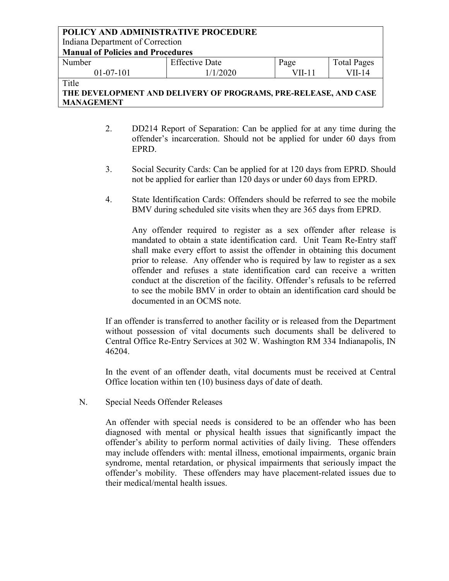Indiana Department of Correction

**Manual of Policies and Procedures**

| Number      | <b>Effective Date</b> | Page    | <b>Total Pages</b> |
|-------------|-----------------------|---------|--------------------|
| $01-07-101$ | 1/2020                | $VII-1$ | VII-14             |

Title

# **THE DEVELOPMENT AND DELIVERY OF PROGRAMS, PRE-RELEASE, AND CASE MANAGEMENT**

- 2. DD214 Report of Separation: Can be applied for at any time during the offender's incarceration. Should not be applied for under 60 days from EPRD.
- 3. Social Security Cards: Can be applied for at 120 days from EPRD. Should not be applied for earlier than 120 days or under 60 days from EPRD.
- 4. State Identification Cards: Offenders should be referred to see the mobile BMV during scheduled site visits when they are 365 days from EPRD.

Any offender required to register as a sex offender after release is mandated to obtain a state identification card. Unit Team Re-Entry staff shall make every effort to assist the offender in obtaining this document prior to release. Any offender who is required by law to register as a sex offender and refuses a state identification card can receive a written conduct at the discretion of the facility. Offender's refusals to be referred to see the mobile BMV in order to obtain an identification card should be documented in an OCMS note.

If an offender is transferred to another facility or is released from the Department without possession of vital documents such documents shall be delivered to Central Office Re-Entry Services at 302 W. Washington RM 334 Indianapolis, IN 46204.

In the event of an offender death, vital documents must be received at Central Office location within ten (10) business days of date of death.

N. Special Needs Offender Releases

An offender with special needs is considered to be an offender who has been diagnosed with mental or physical health issues that significantly impact the offender's ability to perform normal activities of daily living. These offenders may include offenders with: mental illness, emotional impairments, organic brain syndrome, mental retardation, or physical impairments that seriously impact the offender's mobility. These offenders may have placement-related issues due to their medical/mental health issues.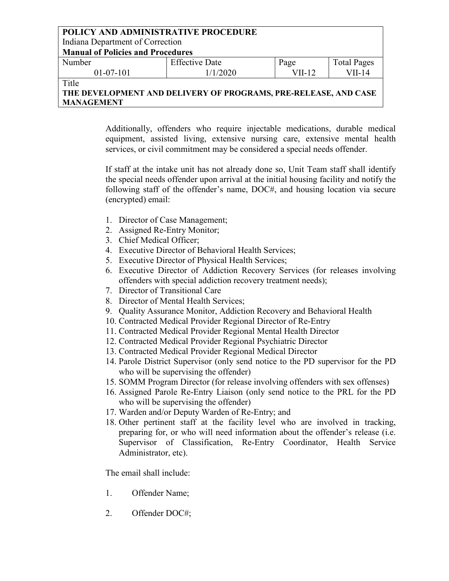Indiana Department of Correction

**Manual of Policies and Procedures**

| Number      | <b>Effective Date</b> | Page    | <b>Total Pages</b> |
|-------------|-----------------------|---------|--------------------|
| $01-07-101$ | 1/1/2020              | $VII-1$ | VII-14             |

**Title** 

**THE DEVELOPMENT AND DELIVERY OF PROGRAMS, PRE-RELEASE, AND CASE MANAGEMENT**

> Additionally, offenders who require injectable medications, durable medical equipment, assisted living, extensive nursing care, extensive mental health services, or civil commitment may be considered a special needs offender.

> If staff at the intake unit has not already done so, Unit Team staff shall identify the special needs offender upon arrival at the initial housing facility and notify the following staff of the offender's name, DOC#, and housing location via secure (encrypted) email:

- 1. Director of Case Management;
- 2. Assigned Re-Entry Monitor;
- 3. Chief Medical Officer;
- 4. Executive Director of Behavioral Health Services;
- 5. Executive Director of Physical Health Services;
- 6. Executive Director of Addiction Recovery Services (for releases involving offenders with special addiction recovery treatment needs);
- 7. Director of Transitional Care
- 8. Director of Mental Health Services;
- 9. Quality Assurance Monitor, Addiction Recovery and Behavioral Health
- 10. Contracted Medical Provider Regional Director of Re-Entry
- 11. Contracted Medical Provider Regional Mental Health Director
- 12. Contracted Medical Provider Regional Psychiatric Director
- 13. Contracted Medical Provider Regional Medical Director
- 14. Parole District Supervisor (only send notice to the PD supervisor for the PD who will be supervising the offender)
- 15. SOMM Program Director (for release involving offenders with sex offenses)
- 16. Assigned Parole Re-Entry Liaison (only send notice to the PRL for the PD who will be supervising the offender)
- 17. Warden and/or Deputy Warden of Re-Entry; and
- 18. Other pertinent staff at the facility level who are involved in tracking, preparing for, or who will need information about the offender's release (i.e. Supervisor of Classification, Re-Entry Coordinator, Health Service Administrator, etc).

The email shall include:

- 1. Offender Name;
- 2. Offender DOC#;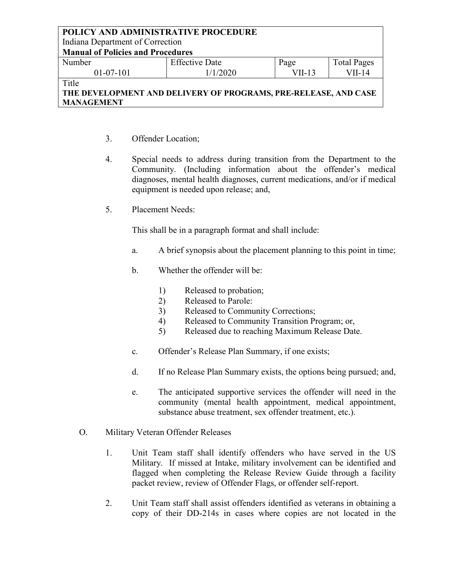Indiana Department of Correction

**Manual of Policies and Procedures**

| Number        | <b>Effective Date</b> | Page   | <b>Total Pages</b> |
|---------------|-----------------------|--------|--------------------|
| $01-07-101$   | 1/2020                | VII-13 | VII-14             |
| $- \cdot$ $-$ |                       |        |                    |

Title

# **THE DEVELOPMENT AND DELIVERY OF PROGRAMS, PRE-RELEASE, AND CASE MANAGEMENT**

- 3. Offender Location;
- 4. Special needs to address during transition from the Department to the Community. (Including information about the offender's medical diagnoses, mental health diagnoses, current medications, and/or if medical equipment is needed upon release; and,
- 5. Placement Needs:

This shall be in a paragraph format and shall include:

- a. A brief synopsis about the placement planning to this point in time;
- b. Whether the offender will be:
	- 1) Released to probation;
	- 2) Released to Parole:
	- 3) Released to Community Corrections;
	- 4) Released to Community Transition Program; or,
	- 5) Released due to reaching Maximum Release Date.
- c. Offender's Release Plan Summary, if one exists;
- d. If no Release Plan Summary exists, the options being pursued; and,
- e. The anticipated supportive services the offender will need in the community (mental health appointment, medical appointment, substance abuse treatment, sex offender treatment, etc.).
- O. Military Veteran Offender Releases
	- 1. Unit Team staff shall identify offenders who have served in the US Military. If missed at Intake, military involvement can be identified and flagged when completing the Release Review Guide through a facility packet review, review of Offender Flags, or offender self-report.
	- 2. Unit Team staff shall assist offenders identified as veterans in obtaining a copy of their DD-214s in cases where copies are not located in the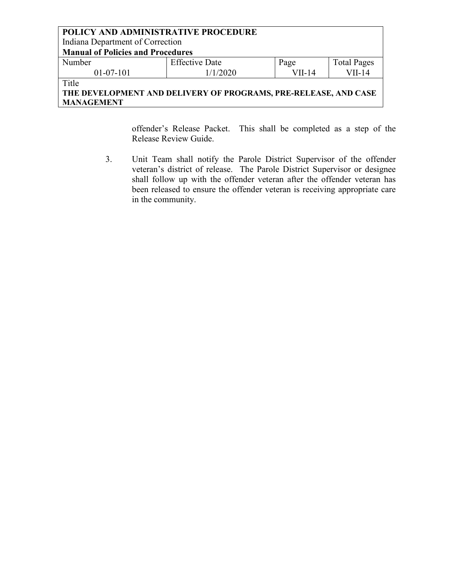### **POLICY AND ADMINISTRATIVE PROCEDURE** Indiana Department of Correction **Manual of Policies and Procedures** Number 01-07-101 Effective Date 1/1/2020 Page VII-14 Total Pages VII-14 **Title**

**THE DEVELOPMENT AND DELIVERY OF PROGRAMS, PRE-RELEASE, AND CASE MANAGEMENT**

> offender's Release Packet. This shall be completed as a step of the Release Review Guide.

3. Unit Team shall notify the Parole District Supervisor of the offender veteran's district of release. The Parole District Supervisor or designee shall follow up with the offender veteran after the offender veteran has been released to ensure the offender veteran is receiving appropriate care in the community.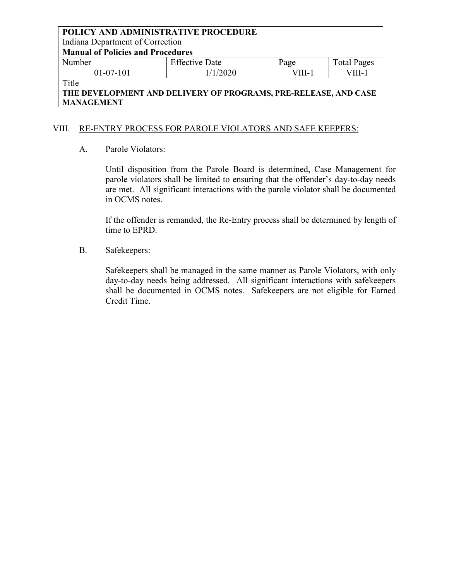Indiana Department of Correction

**Manual of Policies and Procedures**

| Number      | <b>Effective Date</b> | Page  | <b>Total Pages</b> |
|-------------|-----------------------|-------|--------------------|
| $01-07-101$ | 1/1/2020              | VIII- | VIII-.             |
| $m + 1$     |                       |       |                    |

Title

# **THE DEVELOPMENT AND DELIVERY OF PROGRAMS, PRE-RELEASE, AND CASE MANAGEMENT**

### VIII. RE-ENTRY PROCESS FOR PAROLE VIOLATORS AND SAFE KEEPERS:

A. Parole Violators:

Until disposition from the Parole Board is determined, Case Management for parole violators shall be limited to ensuring that the offender's day-to-day needs are met. All significant interactions with the parole violator shall be documented in OCMS notes.

If the offender is remanded, the Re-Entry process shall be determined by length of time to EPRD.

B. Safekeepers:

Safekeepers shall be managed in the same manner as Parole Violators, with only day-to-day needs being addressed. All significant interactions with safekeepers shall be documented in OCMS notes. Safekeepers are not eligible for Earned Credit Time.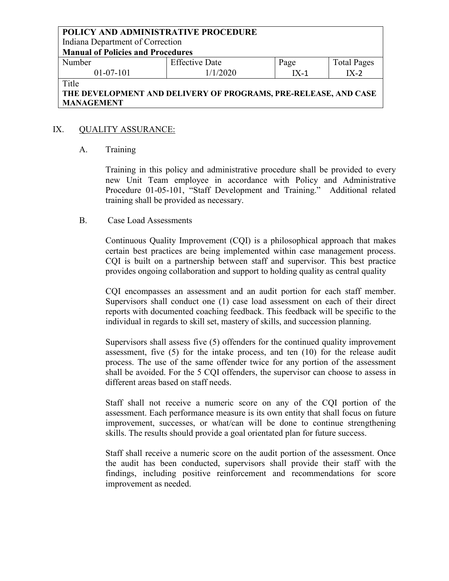Indiana Department of Correction

**Manual of Policies and Procedures**

| Number    | <b>Effective Date</b> | Page | <b>Total Pages</b> |
|-----------|-----------------------|------|--------------------|
| 01-07-101 | 1/2020                | -X-1 | IX-2               |
|           |                       |      |                    |

Title

## **THE DEVELOPMENT AND DELIVERY OF PROGRAMS, PRE-RELEASE, AND CASE MANAGEMENT**

### IX. QUALITY ASSURANCE:

### A. Training

Training in this policy and administrative procedure shall be provided to every new Unit Team employee in accordance with Policy and Administrative Procedure 01-05-101, "Staff Development and Training." Additional related training shall be provided as necessary.

### B. Case Load Assessments

Continuous Quality Improvement (CQI) is a philosophical approach that makes certain best practices are being implemented within case management process. CQI is built on a partnership between staff and supervisor. This best practice provides ongoing collaboration and support to holding quality as central quality

CQI encompasses an assessment and an audit portion for each staff member. Supervisors shall conduct one (1) case load assessment on each of their direct reports with documented coaching feedback. This feedback will be specific to the individual in regards to skill set, mastery of skills, and succession planning.

Supervisors shall assess five (5) offenders for the continued quality improvement assessment, five (5) for the intake process, and ten (10) for the release audit process. The use of the same offender twice for any portion of the assessment shall be avoided. For the 5 CQI offenders, the supervisor can choose to assess in different areas based on staff needs.

Staff shall not receive a numeric score on any of the CQI portion of the assessment. Each performance measure is its own entity that shall focus on future improvement, successes, or what/can will be done to continue strengthening skills. The results should provide a goal orientated plan for future success.

Staff shall receive a numeric score on the audit portion of the assessment. Once the audit has been conducted, supervisors shall provide their staff with the findings, including positive reinforcement and recommendations for score improvement as needed.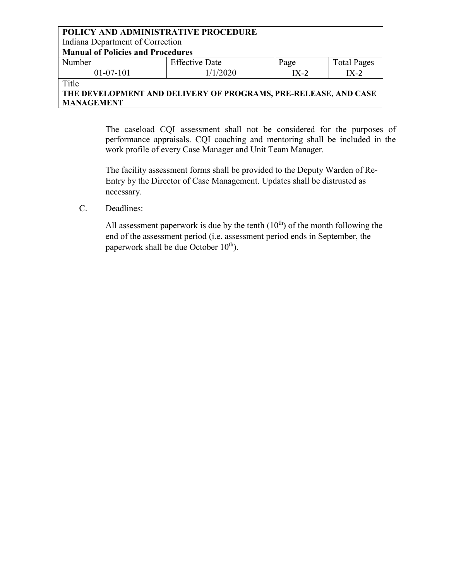### **POLICY AND ADMINISTRATIVE PROCEDURE** Indiana Department of Correction **Manual of Policies and Procedures** Number 01-07-101 Effective Date 1/1/2020 Page IX-2 Total Pages IX-2

Title

# **THE DEVELOPMENT AND DELIVERY OF PROGRAMS, PRE-RELEASE, AND CASE MANAGEMENT**

The caseload CQI assessment shall not be considered for the purposes of performance appraisals. CQI coaching and mentoring shall be included in the work profile of every Case Manager and Unit Team Manager.

The facility assessment forms shall be provided to the Deputy Warden of Re-Entry by the Director of Case Management. Updates shall be distrusted as necessary.

C. Deadlines:

All assessment paperwork is due by the tenth  $(10<sup>th</sup>)$  of the month following the end of the assessment period (i.e. assessment period ends in September, the paperwork shall be due October  $10^{th}$ ).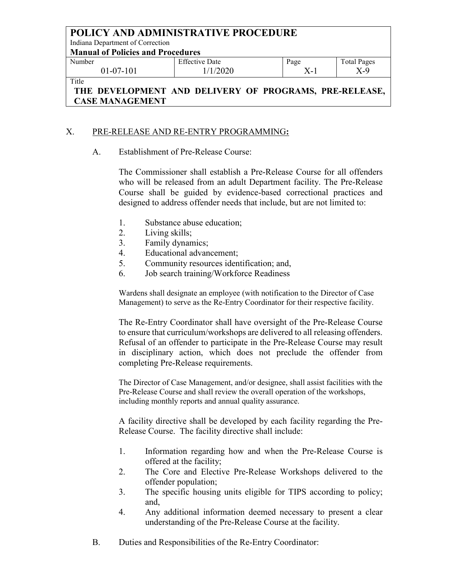Indiana Department of Correction

**Manual of Policies and Procedures**

| Number      | <b>Effective Date</b> | Page | <b>Total Pages</b> |
|-------------|-----------------------|------|--------------------|
| $01-07-101$ | 1/2020                | $-$  | $X-9$              |
| Title       |                       |      |                    |

# **THE DEVELOPMENT AND DELIVERY OF PROGRAMS, PRE-RELEASE, CASE MANAGEMENT**

## X. PRE-RELEASE AND RE-ENTRY PROGRAMMING**:**

A. Establishment of Pre-Release Course:

The Commissioner shall establish a Pre-Release Course for all offenders who will be released from an adult Department facility. The Pre-Release Course shall be guided by evidence-based correctional practices and designed to address offender needs that include, but are not limited to:

- 1. Substance abuse education;
- 2. Living skills;
- 3. Family dynamics;
- 4. Educational advancement;
- 5. Community resources identification; and,
- 6. Job search training/Workforce Readiness

Wardens shall designate an employee (with notification to the Director of Case Management) to serve as the Re-Entry Coordinator for their respective facility.

The Re-Entry Coordinator shall have oversight of the Pre-Release Course to ensure that curriculum/workshops are delivered to all releasing offenders. Refusal of an offender to participate in the Pre-Release Course may result in disciplinary action, which does not preclude the offender from completing Pre-Release requirements.

The Director of Case Management, and/or designee, shall assist facilities with the Pre-Release Course and shall review the overall operation of the workshops, including monthly reports and annual quality assurance.

A facility directive shall be developed by each facility regarding the Pre-Release Course. The facility directive shall include:

- 1. Information regarding how and when the Pre-Release Course is offered at the facility;
- 2. The Core and Elective Pre-Release Workshops delivered to the offender population;
- 3. The specific housing units eligible for TIPS according to policy; and,
- 4. Any additional information deemed necessary to present a clear understanding of the Pre-Release Course at the facility.
- B. Duties and Responsibilities of the Re-Entry Coordinator: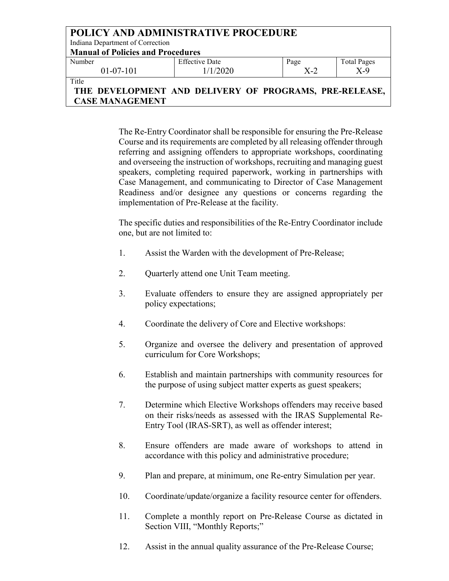| POLICY AND ADMINISTRATIVE PROCEDURE<br>Indiana Department of Correction |                       |      |                    |  |
|-------------------------------------------------------------------------|-----------------------|------|--------------------|--|
| <b>Manual of Policies and Procedures</b>                                |                       |      |                    |  |
| Number                                                                  | <b>Effective Date</b> | Page | <b>Total Pages</b> |  |
| $X-9$<br>1/1/2020<br>$X-2$<br>$01-07-101$                               |                       |      |                    |  |
| Title<br>DEVELOBMENT AND DELIVEDV OF BROCHAMS BDE DELEASE<br>TIL        |                       |      |                    |  |

# **THE DEVELOPMENT AND DELIVERY OF PROGRAMS, PRE-RELEASE, CASE MANAGEMENT**

The Re-Entry Coordinator shall be responsible for ensuring the Pre-Release Course and its requirements are completed by all releasing offender through referring and assigning offenders to appropriate workshops, coordinating and overseeing the instruction of workshops, recruiting and managing guest speakers, completing required paperwork, working in partnerships with Case Management, and communicating to Director of Case Management Readiness and/or designee any questions or concerns regarding the implementation of Pre-Release at the facility.

The specific duties and responsibilities of the Re-Entry Coordinator include one, but are not limited to:

- 1. Assist the Warden with the development of Pre-Release;
- 2. Quarterly attend one Unit Team meeting.
- 3. Evaluate offenders to ensure they are assigned appropriately per policy expectations;
- 4. Coordinate the delivery of Core and Elective workshops:
- 5. Organize and oversee the delivery and presentation of approved curriculum for Core Workshops;
- 6. Establish and maintain partnerships with community resources for the purpose of using subject matter experts as guest speakers;
- 7. Determine which Elective Workshops offenders may receive based on their risks/needs as assessed with the IRAS Supplemental Re-Entry Tool (IRAS-SRT), as well as offender interest;
- 8. Ensure offenders are made aware of workshops to attend in accordance with this policy and administrative procedure;
- 9. Plan and prepare, at minimum, one Re-entry Simulation per year.
- 10. Coordinate/update/organize a facility resource center for offenders.
- 11. Complete a monthly report on Pre-Release Course as dictated in Section VIII, "Monthly Reports;"
- 12. Assist in the annual quality assurance of the Pre-Release Course;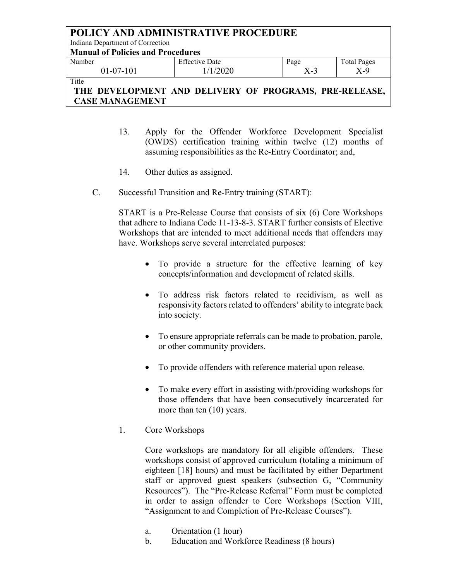| <b>POLICY AND ADMINISTRATIVE PROCEDURE</b>             |                       |       |                    |  |
|--------------------------------------------------------|-----------------------|-------|--------------------|--|
| Indiana Department of Correction                       |                       |       |                    |  |
| <b>Manual of Policies and Procedures</b>               |                       |       |                    |  |
| Number                                                 | <b>Effective Date</b> | Page  | <b>Total Pages</b> |  |
| $01-07-101$                                            | 1/1/2020              | $X-3$ | $X-9$              |  |
| Title                                                  |                       |       |                    |  |
| THE DEVELOPMENT AND DELIVERY OF PROGRAMS, PRE-RELEASE, |                       |       |                    |  |

**CASE MANAGEMENT**

- 13. Apply for the Offender Workforce Development Specialist (OWDS) certification training within twelve (12) months of assuming responsibilities as the Re-Entry Coordinator; and,
- 14. Other duties as assigned.
- C. Successful Transition and Re-Entry training (START):

START is a Pre-Release Course that consists of six (6) Core Workshops that adhere to Indiana Code 11-13-8-3. START further consists of Elective Workshops that are intended to meet additional needs that offenders may have. Workshops serve several interrelated purposes:

- To provide a structure for the effective learning of key concepts/information and development of related skills.
- To address risk factors related to recidivism, as well as responsivity factors related to offenders' ability to integrate back into society.
- To ensure appropriate referrals can be made to probation, parole, or other community providers.
- To provide offenders with reference material upon release.
- To make every effort in assisting with/providing workshops for those offenders that have been consecutively incarcerated for more than ten (10) years.
- 1. Core Workshops

Core workshops are mandatory for all eligible offenders. These workshops consist of approved curriculum (totaling a minimum of eighteen [18] hours) and must be facilitated by either Department staff or approved guest speakers (subsection G, "Community Resources"). The "Pre-Release Referral" Form must be completed in order to assign offender to Core Workshops (Section VIII, "Assignment to and Completion of Pre-Release Courses").

- a. Orientation (1 hour)
- b. Education and Workforce Readiness (8 hours)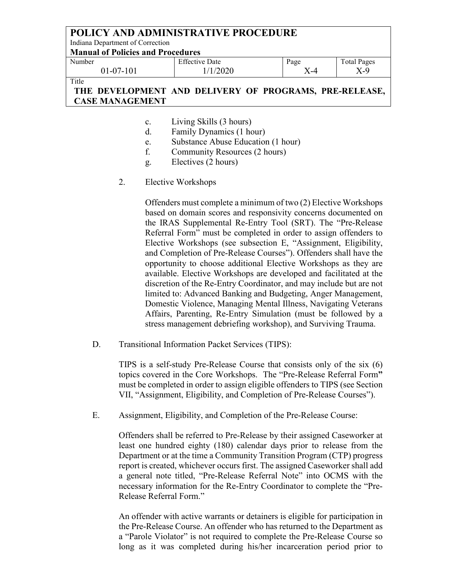### **POLICY AND ADMINISTRATIVE PROCEDURE** Indiana Department of Correction **Manual of Policies and Procedures** Number 01-07-101 Effective Date 1/1/2020 Page X-4 Total Pages X-9 Title

**THE DEVELOPMENT AND DELIVERY OF PROGRAMS, PRE-RELEASE, CASE MANAGEMENT**

- c. Living Skills (3 hours)
- d. Family Dynamics (1 hour)
- e. Substance Abuse Education (1 hour)
- f. Community Resources (2 hours)
- g. Electives (2 hours)
- 2. Elective Workshops

Offenders must complete a minimum of two (2) Elective Workshops based on domain scores and responsivity concerns documented on the IRAS Supplemental Re-Entry Tool (SRT). The "Pre-Release Referral Form" must be completed in order to assign offenders to Elective Workshops (see subsection E, "Assignment, Eligibility, and Completion of Pre-Release Courses"). Offenders shall have the opportunity to choose additional Elective Workshops as they are available. Elective Workshops are developed and facilitated at the discretion of the Re-Entry Coordinator, and may include but are not limited to: Advanced Banking and Budgeting, Anger Management, Domestic Violence, Managing Mental Illness, Navigating Veterans Affairs, Parenting, Re-Entry Simulation (must be followed by a stress management debriefing workshop), and Surviving Trauma.

D. Transitional Information Packet Services (TIPS):

TIPS is a self-study Pre-Release Course that consists only of the six (6) topics covered in the Core Workshops. The "Pre-Release Referral Form**"**  must be completed in order to assign eligible offenders to TIPS (see Section VII, "Assignment, Eligibility, and Completion of Pre-Release Courses").

E. Assignment, Eligibility, and Completion of the Pre-Release Course:

Offenders shall be referred to Pre-Release by their assigned Caseworker at least one hundred eighty (180) calendar days prior to release from the Department or at the time a Community Transition Program (CTP) progress report is created, whichever occurs first. The assigned Caseworker shall add a general note titled, "Pre-Release Referral Note" into OCMS with the necessary information for the Re-Entry Coordinator to complete the "Pre-Release Referral Form."

An offender with active warrants or detainers is eligible for participation in the Pre-Release Course. An offender who has returned to the Department as a "Parole Violator" is not required to complete the Pre-Release Course so long as it was completed during his/her incarceration period prior to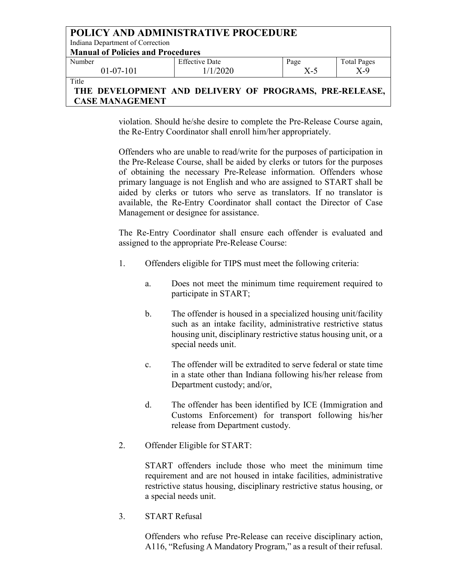| <b>POLICY AND ADMINISTRATIVE PROCEDURE</b> |                                                  |      |                    |  |
|--------------------------------------------|--------------------------------------------------|------|--------------------|--|
| Indiana Department of Correction           |                                                  |      |                    |  |
| <b>Manual of Policies and Procedures</b>   |                                                  |      |                    |  |
| Number                                     | <b>Effective Date</b>                            | Page | <b>Total Pages</b> |  |
| $X-9$<br>1/1/2020<br>$X-5$<br>$01-07-101$  |                                                  |      |                    |  |
| Title                                      |                                                  |      |                    |  |
| TIIE                                       | DEVELODMENT AND DELIVEDV OF DDOCDAMS DDE DELEASE |      |                    |  |

# **THE DEVELOPMENT AND DELIVERY OF PROGRAMS, PRE-RELEASE, CASE MANAGEMENT**

violation. Should he/she desire to complete the Pre-Release Course again, the Re-Entry Coordinator shall enroll him/her appropriately.

Offenders who are unable to read/write for the purposes of participation in the Pre-Release Course, shall be aided by clerks or tutors for the purposes of obtaining the necessary Pre-Release information. Offenders whose primary language is not English and who are assigned to START shall be aided by clerks or tutors who serve as translators. If no translator is available, the Re-Entry Coordinator shall contact the Director of Case Management or designee for assistance.

The Re-Entry Coordinator shall ensure each offender is evaluated and assigned to the appropriate Pre-Release Course:

- 1. Offenders eligible for TIPS must meet the following criteria:
	- a. Does not meet the minimum time requirement required to participate in START;
	- b. The offender is housed in a specialized housing unit/facility such as an intake facility, administrative restrictive status housing unit, disciplinary restrictive status housing unit, or a special needs unit.
	- c. The offender will be extradited to serve federal or state time in a state other than Indiana following his/her release from Department custody; and/or,
	- d. The offender has been identified by ICE (Immigration and Customs Enforcement) for transport following his/her release from Department custody.
- 2. Offender Eligible for START:

START offenders include those who meet the minimum time requirement and are not housed in intake facilities, administrative restrictive status housing, disciplinary restrictive status housing, or a special needs unit.

3. START Refusal

Offenders who refuse Pre-Release can receive disciplinary action, A116, "Refusing A Mandatory Program," as a result of their refusal.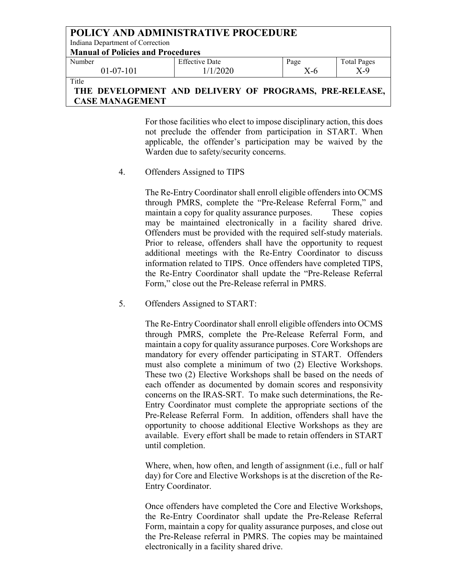| <b>POLICY AND ADMINISTRATIVE PROCEDURE</b>                                                                          |                       |      |                    |  |
|---------------------------------------------------------------------------------------------------------------------|-----------------------|------|--------------------|--|
| Indiana Department of Correction                                                                                    |                       |      |                    |  |
| <b>Manual of Policies and Procedures</b>                                                                            |                       |      |                    |  |
| Number                                                                                                              | <b>Effective Date</b> | Page | <b>Total Pages</b> |  |
| $X-9$<br>1/1/2020<br>X-6<br>$01-07-101$                                                                             |                       |      |                    |  |
| Title<br>$\mathbf{A}$ in Delivery of Droch $\mathbf{A}$ of Droch $\mathbf{A}$<br><b>DEVEL OBJEVE</b><br><b>TITT</b> |                       |      |                    |  |

### **THE DEVELOPMENT AND DELIVERY OF PROGRAMS, PRE-RELEASE, CASE MANAGEMENT**

For those facilities who elect to impose disciplinary action, this does not preclude the offender from participation in START. When applicable, the offender's participation may be waived by the Warden due to safety/security concerns.

4. Offenders Assigned to TIPS

The Re-Entry Coordinator shall enroll eligible offenders into OCMS through PMRS, complete the "Pre-Release Referral Form," and maintain a copy for quality assurance purposes. These copies may be maintained electronically in a facility shared drive. Offenders must be provided with the required self-study materials. Prior to release, offenders shall have the opportunity to request additional meetings with the Re-Entry Coordinator to discuss information related to TIPS. Once offenders have completed TIPS, the Re-Entry Coordinator shall update the "Pre-Release Referral Form," close out the Pre-Release referral in PMRS.

5. Offenders Assigned to START:

The Re-Entry Coordinator shall enroll eligible offenders into OCMS through PMRS, complete the Pre-Release Referral Form, and maintain a copy for quality assurance purposes. Core Workshops are mandatory for every offender participating in START. Offenders must also complete a minimum of two (2) Elective Workshops. These two (2) Elective Workshops shall be based on the needs of each offender as documented by domain scores and responsivity concerns on the IRAS-SRT. To make such determinations, the Re-Entry Coordinator must complete the appropriate sections of the Pre-Release Referral Form. In addition, offenders shall have the opportunity to choose additional Elective Workshops as they are available. Every effort shall be made to retain offenders in START until completion.

Where, when, how often, and length of assignment (i.e., full or half day) for Core and Elective Workshops is at the discretion of the Re-Entry Coordinator.

Once offenders have completed the Core and Elective Workshops, the Re-Entry Coordinator shall update the Pre-Release Referral Form, maintain a copy for quality assurance purposes, and close out the Pre-Release referral in PMRS. The copies may be maintained electronically in a facility shared drive.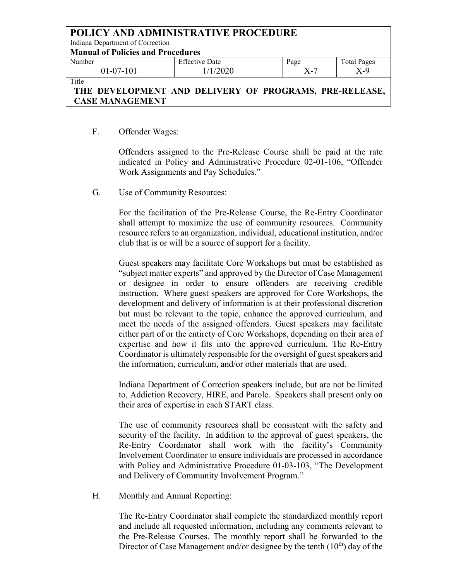### **POLICY AND ADMINISTRATIVE PROCEDURE** Indiana Department of Correction **Manual of Policies and Procedures** Number 01-07-101 Effective Date 1/1/2020 Page X-7 Total Pages X-9 Title **THE DEVELOPMENT AND DELIVERY OF PROGRAMS, PRE-RELEASE,**

# F. Offender Wages:

**CASE MANAGEMENT**

Offenders assigned to the Pre-Release Course shall be paid at the rate indicated in Policy and Administrative Procedure 02-01-106, "Offender Work Assignments and Pay Schedules."

G. Use of Community Resources:

For the facilitation of the Pre-Release Course, the Re-Entry Coordinator shall attempt to maximize the use of community resources. Community resource refers to an organization, individual, educational institution, and/or club that is or will be a source of support for a facility.

Guest speakers may facilitate Core Workshops but must be established as "subject matter experts" and approved by the Director of Case Management or designee in order to ensure offenders are receiving credible instruction. Where guest speakers are approved for Core Workshops, the development and delivery of information is at their professional discretion but must be relevant to the topic, enhance the approved curriculum, and meet the needs of the assigned offenders. Guest speakers may facilitate either part of or the entirety of Core Workshops, depending on their area of expertise and how it fits into the approved curriculum. The Re-Entry Coordinator is ultimately responsible for the oversight of guest speakers and the information, curriculum, and/or other materials that are used.

Indiana Department of Correction speakers include, but are not be limited to, Addiction Recovery, HIRE, and Parole. Speakers shall present only on their area of expertise in each START class.

The use of community resources shall be consistent with the safety and security of the facility. In addition to the approval of guest speakers, the Re-Entry Coordinator shall work with the facility's Community Involvement Coordinator to ensure individuals are processed in accordance with Policy and Administrative Procedure 01-03-103, "The Development and Delivery of Community Involvement Program."

H. Monthly and Annual Reporting:

The Re-Entry Coordinator shall complete the standardized monthly report and include all requested information, including any comments relevant to the Pre-Release Courses. The monthly report shall be forwarded to the Director of Case Management and/or designee by the tenth  $(10<sup>th</sup>)$  day of the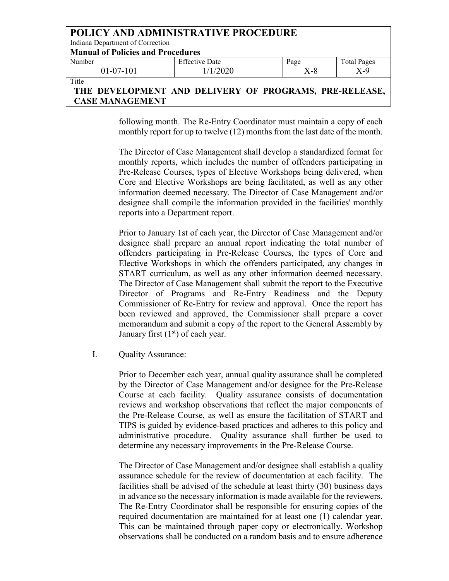| <b>POLICY AND ADMINISTRATIVE PROCEDURE</b>                                   |                       |       |                    |
|------------------------------------------------------------------------------|-----------------------|-------|--------------------|
| Indiana Department of Correction                                             |                       |       |                    |
| <b>Manual of Policies and Procedures</b>                                     |                       |       |                    |
| Number                                                                       | <b>Effective Date</b> | Page  | <b>Total Pages</b> |
| $01-07-101$                                                                  | 1/1/2020              | $X-8$ | $X-9$              |
| Title<br>AND DELIVEDV OF BROCHARG<br>DEVEL ODMENT<br>חם גם זהות התת<br>TITT. |                       |       |                    |

# **THE DEVELOPMENT AND DELIVERY OF PROGRAMS, PRE-RELEASE, CASE MANAGEMENT**

following month. The Re-Entry Coordinator must maintain a copy of each monthly report for up to twelve (12) months from the last date of the month.

The Director of Case Management shall develop a standardized format for monthly reports, which includes the number of offenders participating in Pre-Release Courses, types of Elective Workshops being delivered, when Core and Elective Workshops are being facilitated, as well as any other information deemed necessary. The Director of Case Management and/or designee shall compile the information provided in the facilities' monthly reports into a Department report.

Prior to January 1st of each year, the Director of Case Management and/or designee shall prepare an annual report indicating the total number of offenders participating in Pre-Release Courses, the types of Core and Elective Workshops in which the offenders participated, any changes in START curriculum, as well as any other information deemed necessary. The Director of Case Management shall submit the report to the Executive Director of Programs and Re-Entry Readiness and the Deputy Commissioner of Re-Entry for review and approval. Once the report has been reviewed and approved, the Commissioner shall prepare a cover memorandum and submit a copy of the report to the General Assembly by January first  $(1<sup>st</sup>)$  of each year.

I. Quality Assurance:

Prior to December each year, annual quality assurance shall be completed by the Director of Case Management and/or designee for the Pre-Release Course at each facility. Quality assurance consists of documentation reviews and workshop observations that reflect the major components of the Pre-Release Course, as well as ensure the facilitation of START and TIPS is guided by evidence-based practices and adheres to this policy and administrative procedure. Quality assurance shall further be used to determine any necessary improvements in the Pre-Release Course.

The Director of Case Management and/or designee shall establish a quality assurance schedule for the review of documentation at each facility. The facilities shall be advised of the schedule at least thirty (30) business days in advance so the necessary information is made available for the reviewers. The Re-Entry Coordinator shall be responsible for ensuring copies of the required documentation are maintained for at least one (1) calendar year. This can be maintained through paper copy or electronically. Workshop observations shall be conducted on a random basis and to ensure adherence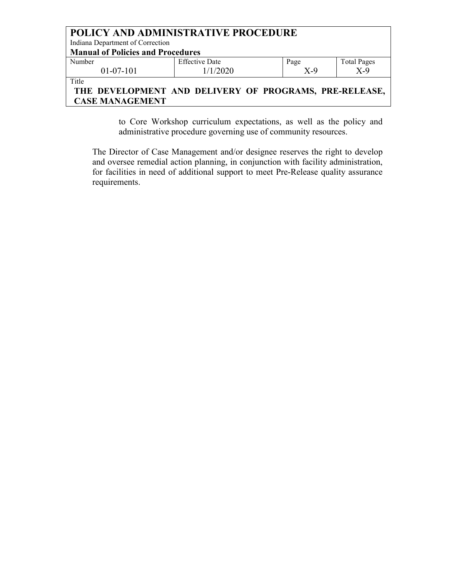| POLICY AND ADMINISTRATIVE PROCEDURE                    |                            |      |                    |  |  |
|--------------------------------------------------------|----------------------------|------|--------------------|--|--|
| Indiana Department of Correction                       |                            |      |                    |  |  |
| <b>Manual of Policies and Procedures</b>               |                            |      |                    |  |  |
| Number                                                 | <b>Effective Date</b>      | Page | <b>Total Pages</b> |  |  |
| $01-07-101$                                            | $X-9$<br>1/1/2020<br>$X-9$ |      |                    |  |  |
| Title                                                  |                            |      |                    |  |  |
| THE DEVELOPMENT AND DELIVERY OF PROGRAMS, PRE-RELEASE, |                            |      |                    |  |  |
| <b>CASE MANAGEMENT</b>                                 |                            |      |                    |  |  |

to Core Workshop curriculum expectations, as well as the policy and administrative procedure governing use of community resources.

The Director of Case Management and/or designee reserves the right to develop and oversee remedial action planning, in conjunction with facility administration, for facilities in need of additional support to meet Pre-Release quality assurance requirements.